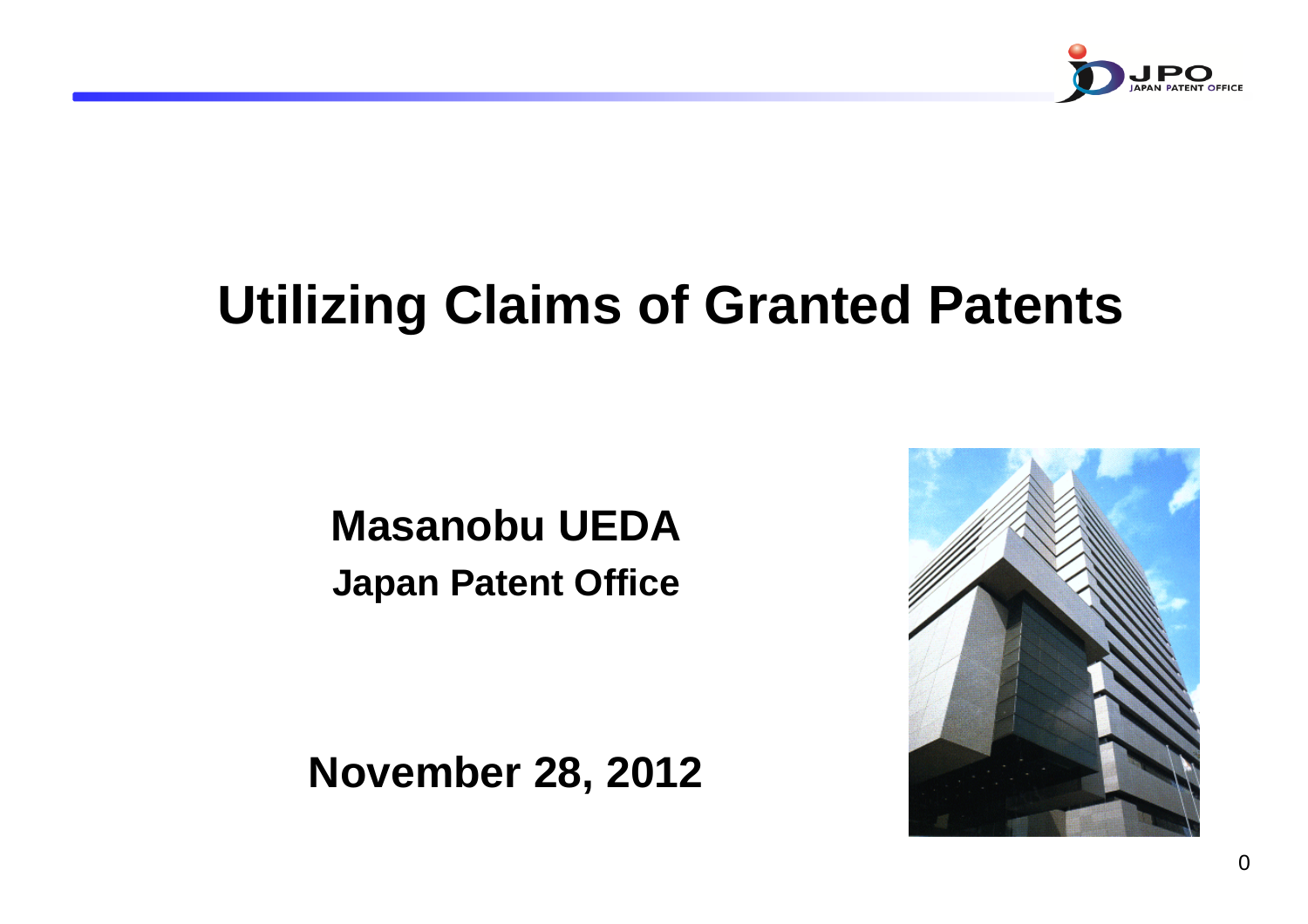

# **Utilizing Claims of Granted Patents**

# **Masanobu UEDAJapan Patent Office**

**November 28, 2012**

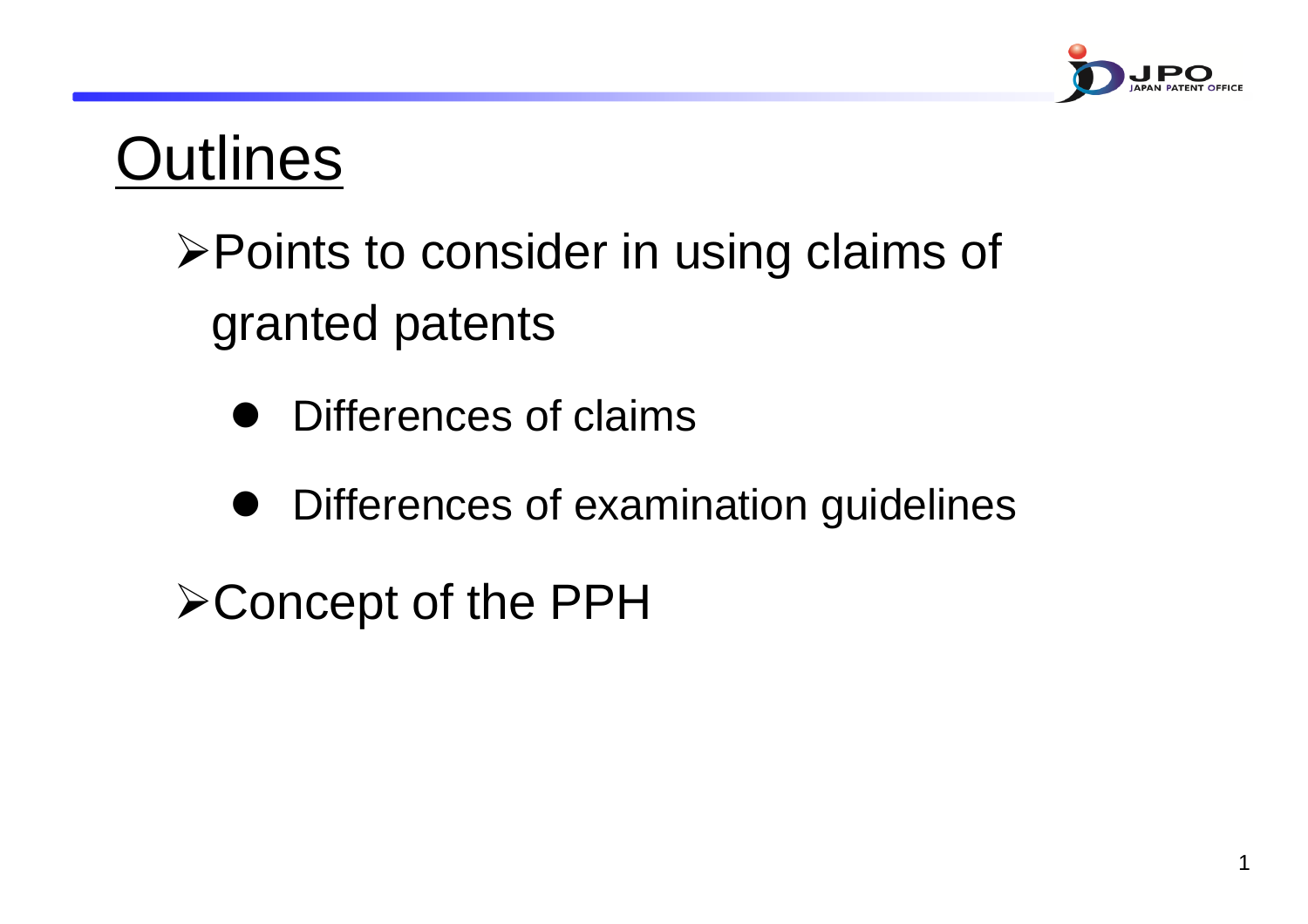

1

# **Outlines**

# ¾Points to consider in using claims of granted patents

- $\bullet$ Differences of claims
- $\bullet$ Differences of examination guidelines

¾Concept of the PPH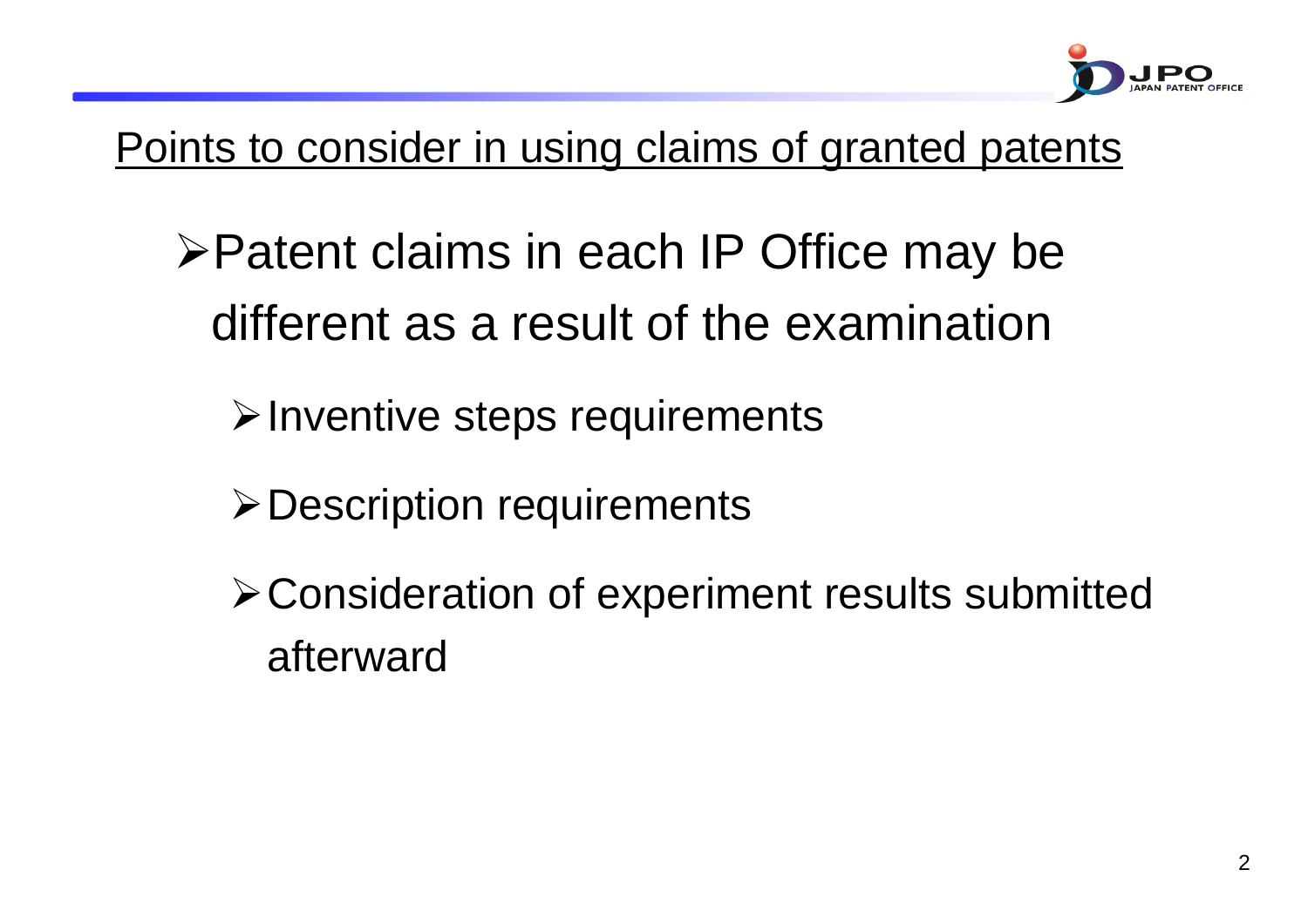

Points to consider in using claims of granted patents

- ¾Patent claims in each IP Office may be different as a result of the examination
	- **≻Inventive steps requirements**
	- ¾Description requirements
	- ¾Consideration of experiment results submitted afterward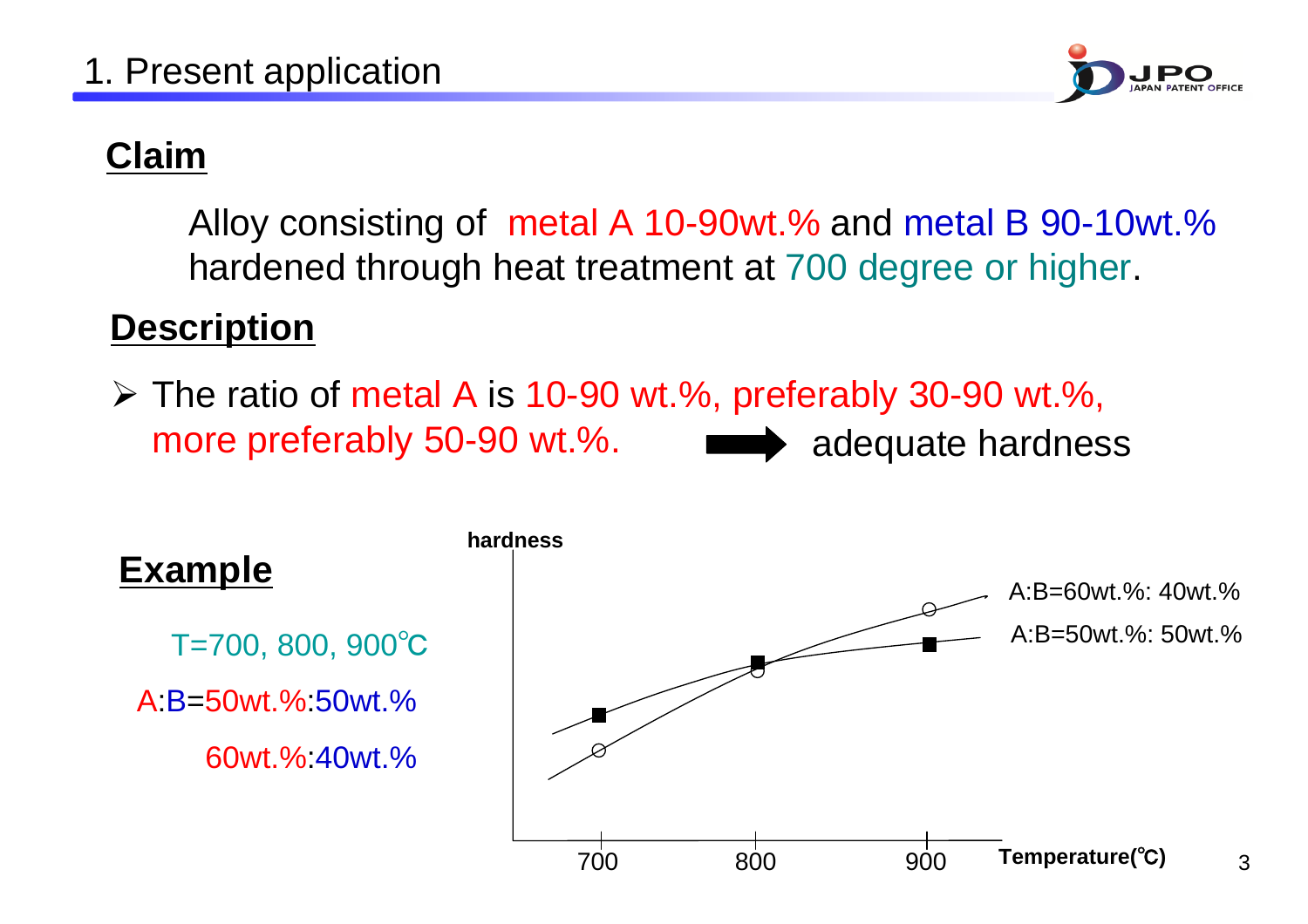

## **Claim**

Alloy consisting of metal A 10-90wt.% and metal B 90-10wt.% hardened through heat treatment at 700 degree or higher.

### **Description**

 $\triangleright$  The ratio of metal A is 10-90 wt.%, preferably 30-90 wt.%, more preferably 50-90 wt.%. adequate hardness

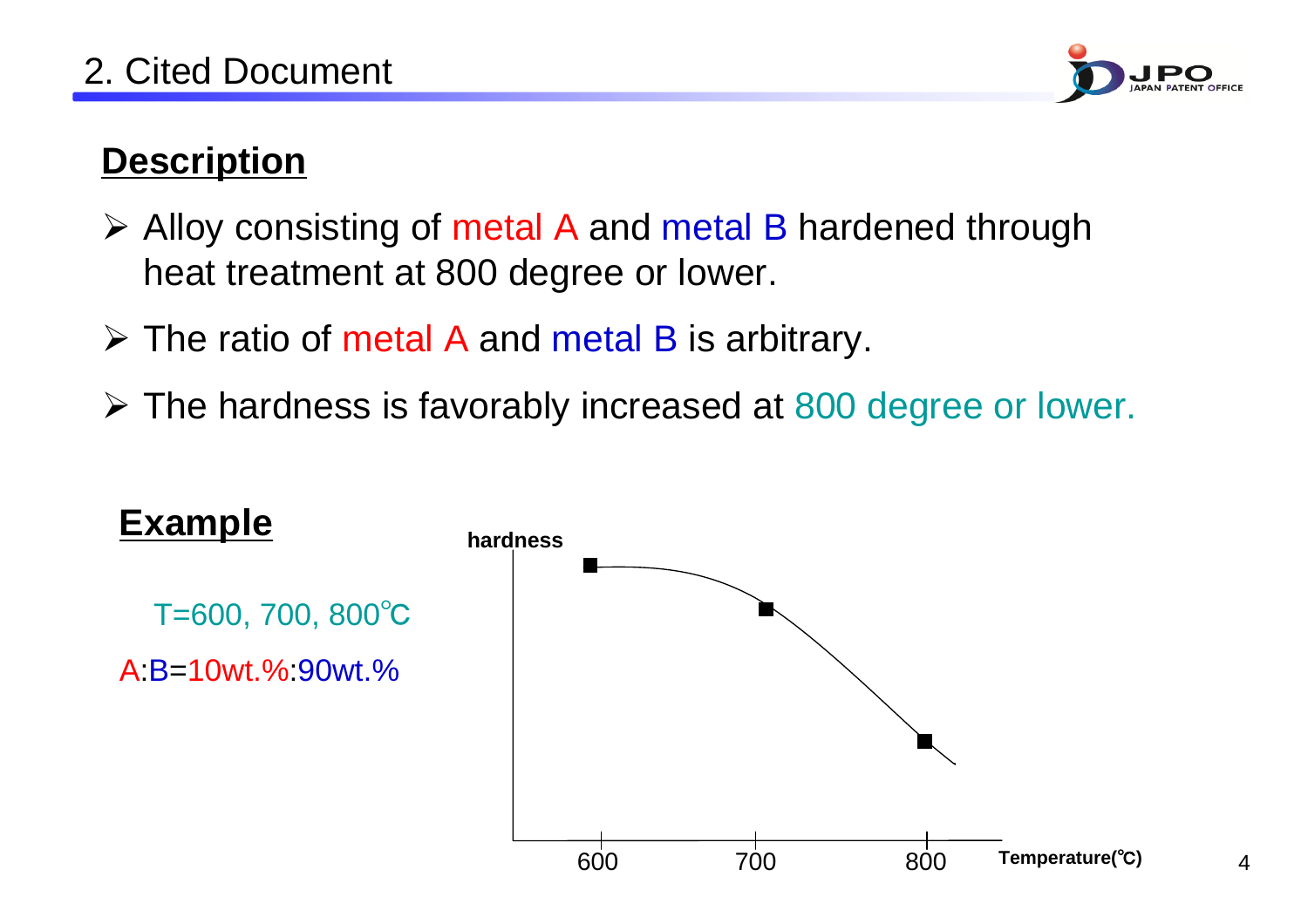

## **Description**

- **≻** Alloy consisting of metal A and metal B hardened through heat treatment at 800 degree or lower.
- $\triangleright$  The ratio of metal A and metal B is arbitrary.
- ¾ The hardness is favorably increased at 800 degree or lower.

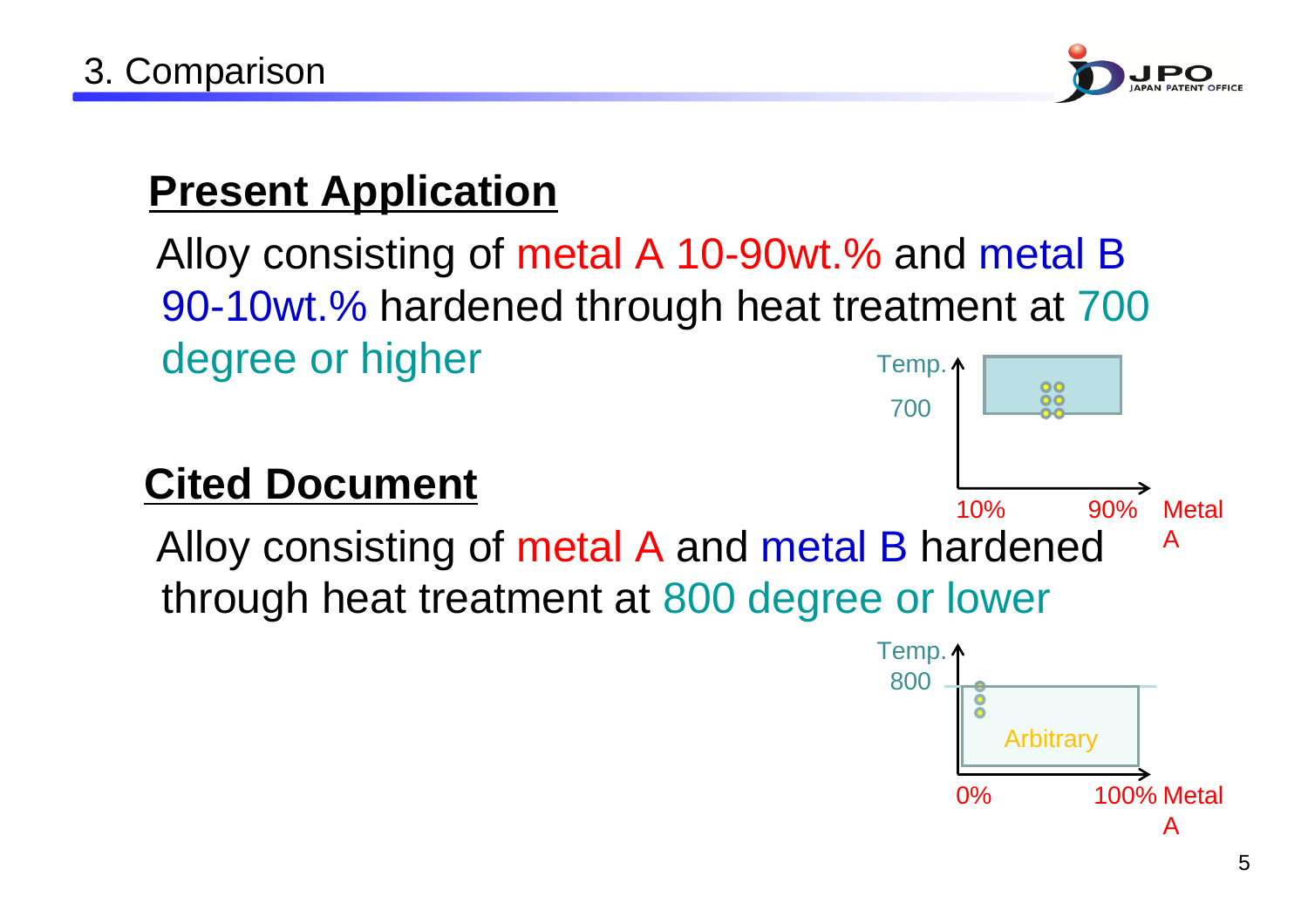

# **Present Application**

Alloy consisting of metal A 10-90wt.% and metal B 90-10wt.% hardened through heat treatment at 700 degree or higher Temp.  $\uparrow$ 88

# **Cited Document**



A

0% 100% Metal

**Arbitrary**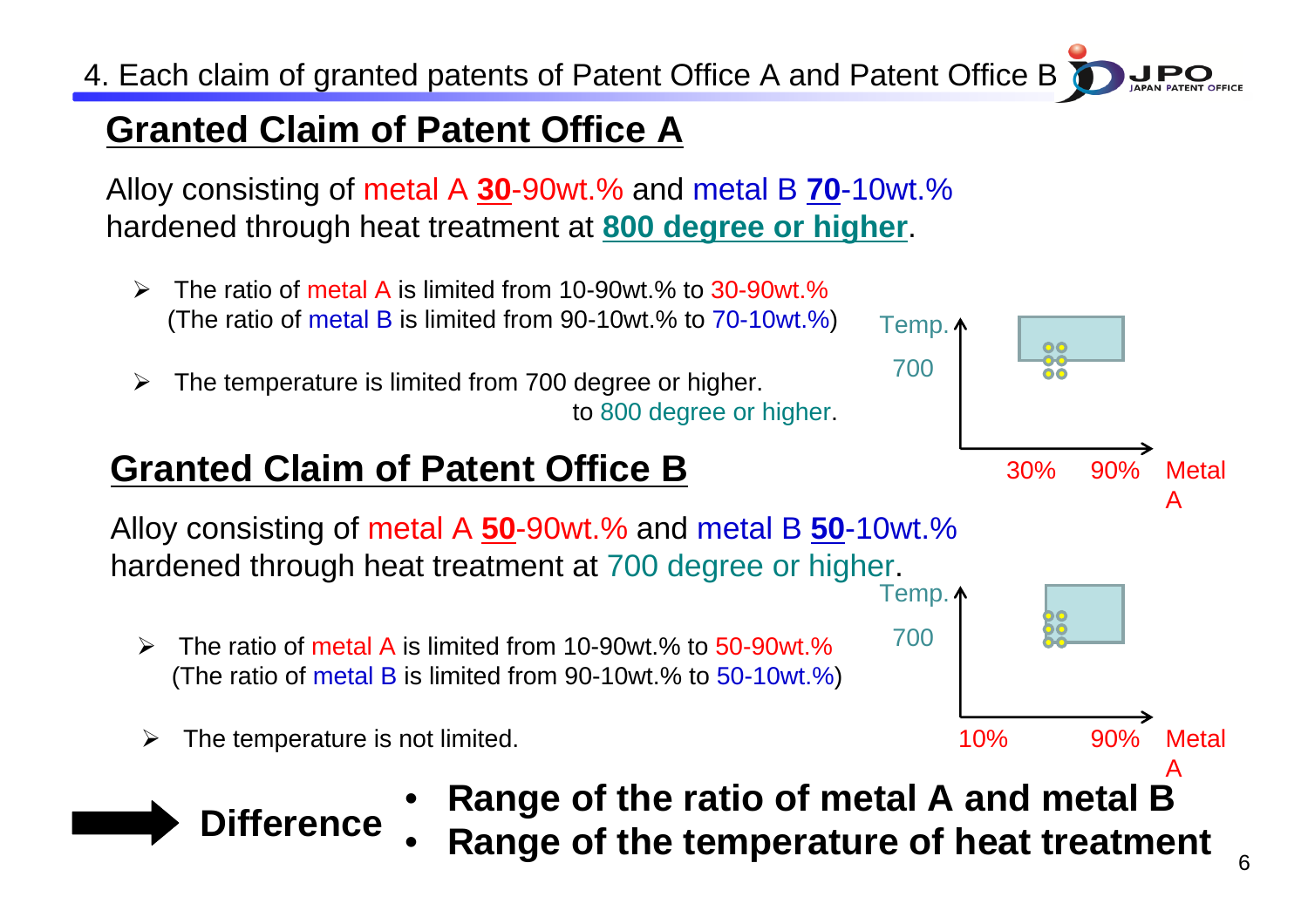4. Each claim of granted patents of Patent Office A and Patent Office B

## **Granted Claim of Patent Office A**

Alloy consisting of metal A **30**-90wt.% and metal B **70**-10wt.% hardened through heat treatment at **800 degree or higher**.

- $\blacktriangleright$  The ratio of metal A is limited from 10-90wt.% to 30-90wt.%(The ratio of metal B is limited from 90-10wt.% to 70-10wt.%)
- $\blacktriangleright$  The temperature is limited from 700 degree or higher. to 800 degree or higher.

## **Granted Claim of Patent Office B**

Alloy consisting of metal A **50**-90wt.% and metal B **50**-10wt.% hardened through heat treatment at 700 degree or higher. Temp.  $\uparrow$ 

- $\blacktriangleright$  The ratio of metal A is limited from 10-90wt.% to 50-90wt.%(The ratio of metal B is limited from 90-10wt.% to 50-10wt.%)
- $\blacktriangleright$  The temperature is not limited.
	- •**Range of the ratio of metal A and metal B**
	- •**Range of the temperature of heat treatment Difference**

Temp.  $\uparrow$ 

700

700

**Metal** 

A

A

30% 90%

22 ŌŌ

10% 90% Metal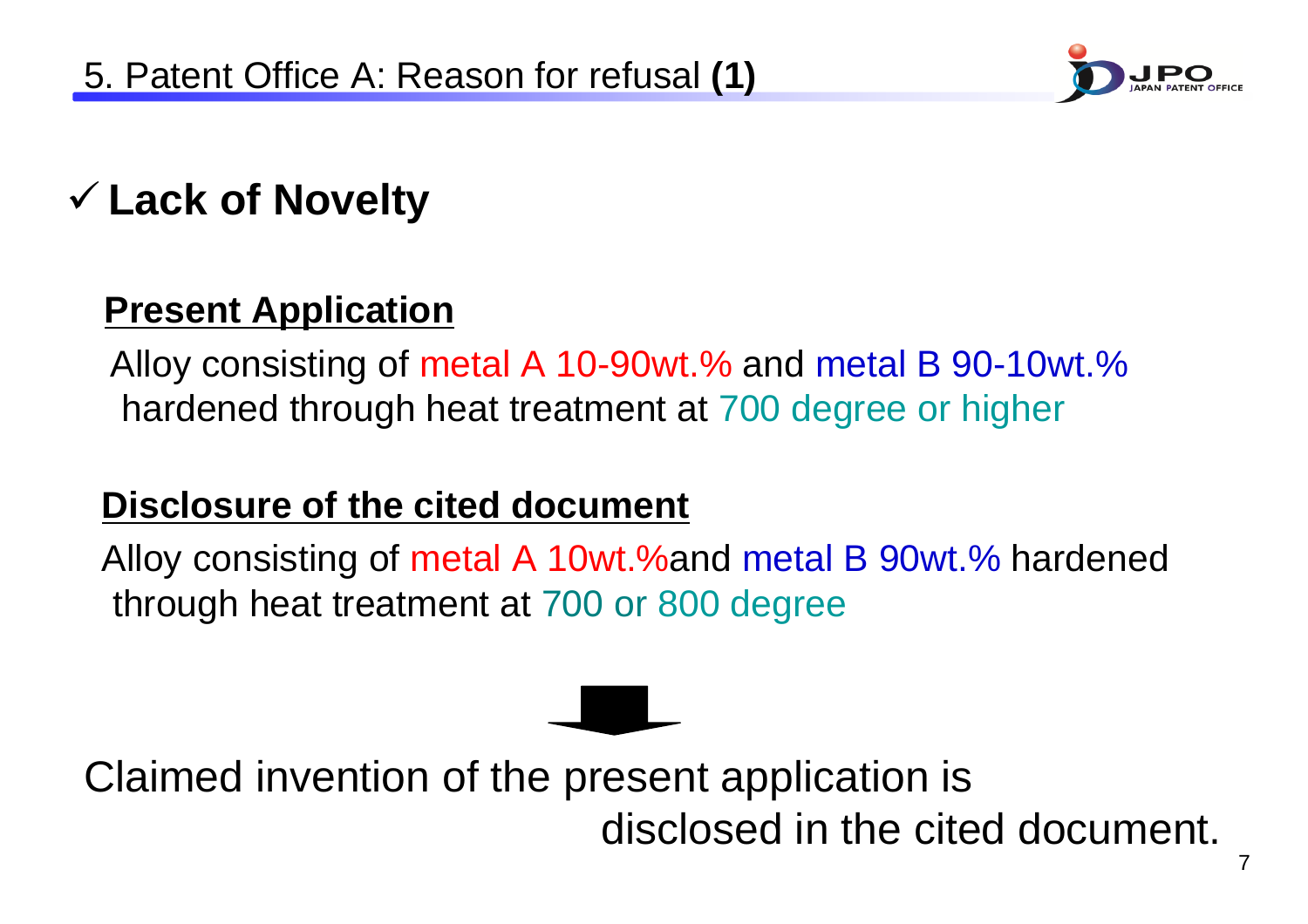

# 9 **Lack of Novelty**

### **Present Application**

Alloy consisting of metal A 10-90wt.% and metal B 90-10wt.% hardened through heat treatment at 700 degree or higher

### **Disclosure of the cited document**

Alloy consisting of metal A 10wt.%and metal B 90wt.% hardened through heat treatment at 700 or 800 degree

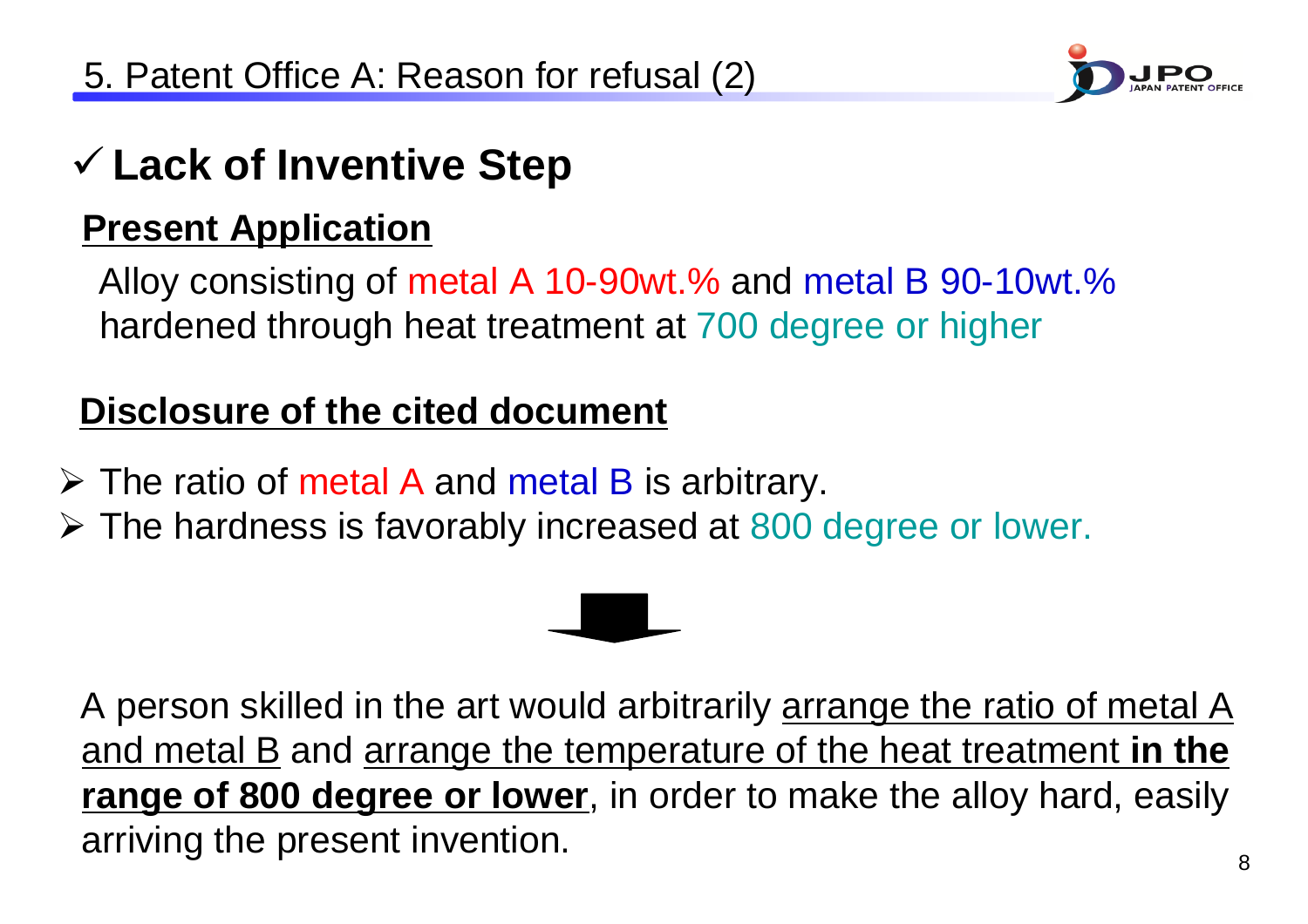

# 9 **Lack of Inventive Step**

### **Present Application**

Alloy consisting of metal A 10-90wt.% and metal B 90-10wt.% hardened through heat treatment at 700 degree or higher

## **Disclosure of the cited document**

- $\triangleright$  The ratio of metal A and metal B is arbitrary.
- ¾ The hardness is favorably increased at 800 degree or lower.

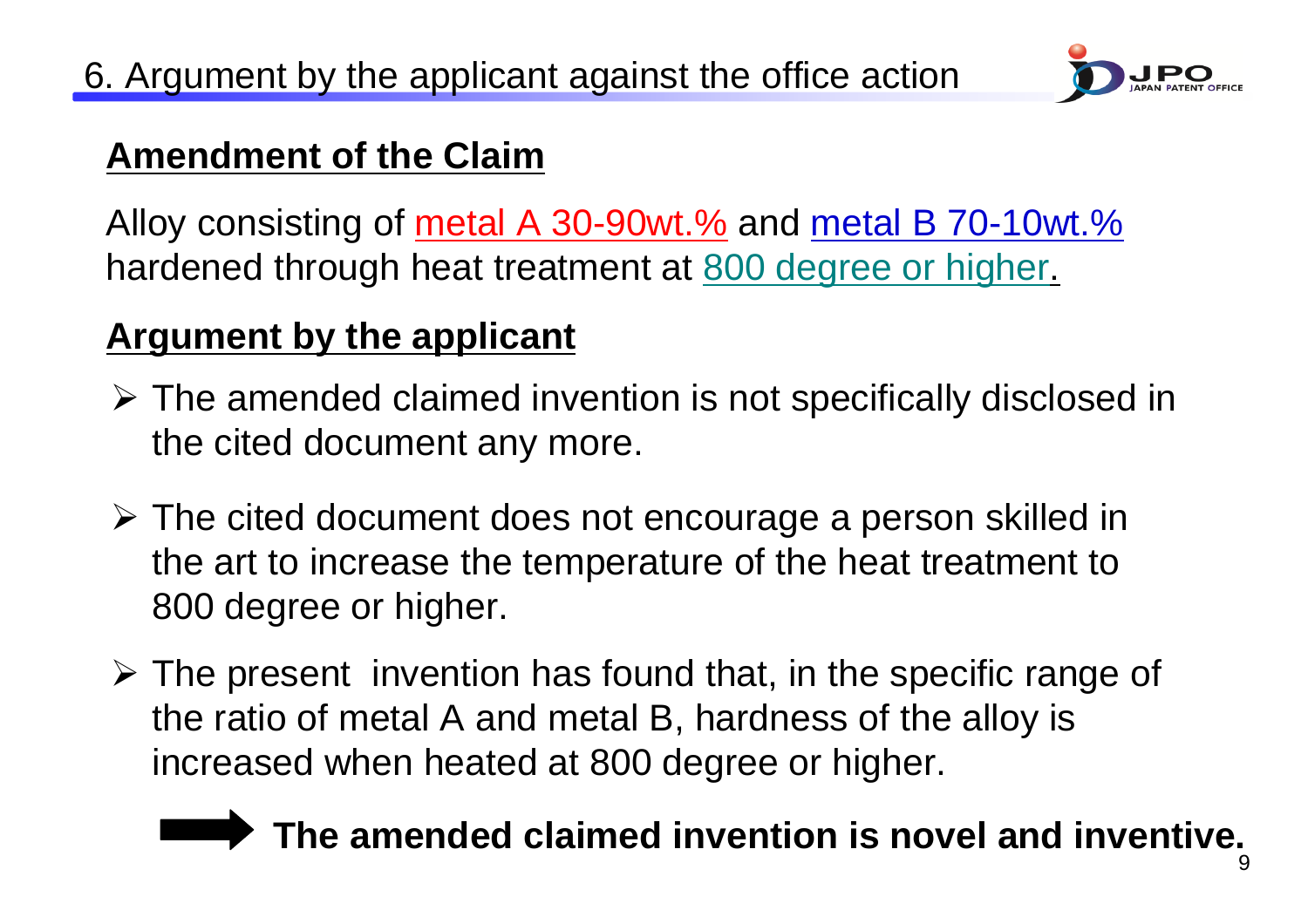

#### **Amendment of the Claim**

Alloy consisting of metal A 30-90wt.% and metal B 70-10wt.% hardened through heat treatment at 800 degree or higher.

### **Argument by the applicant**

- ¾ The amended claimed invention is not specifically disclosed in the cited document any more.
- ¾ The cited document does not encourage a person skilled in the art to increase the temperature of the heat treatment to 800 degree or higher.
- $\triangleright$  The present invention has found that, in the specific range of the ratio of metal A and metal B, hardness of the alloy is increased when heated at 800 degree or higher.

# **The amended claimed invention is novel and inventive.**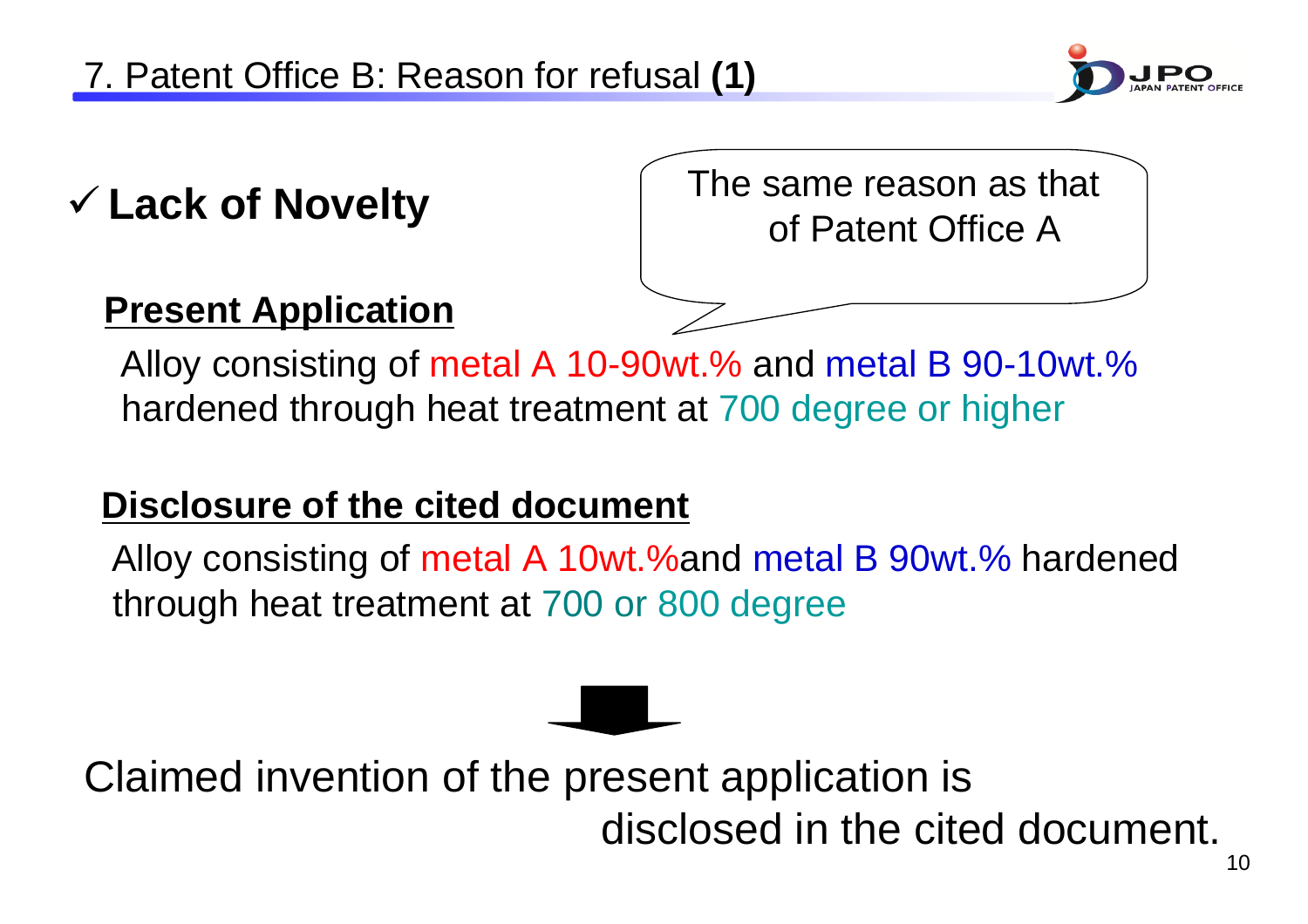

# 9 **Lack of Novelty**

The same reason as that of Patent Office A

### **Present Application**

Alloy consisting of metal A 10-90wt.% and metal B 90-10wt.% hardened through heat treatment at 700 degree or higher

#### **Disclosure of the cited document**

Alloy consisting of metal A 10wt.%and metal B 90wt.% hardened through heat treatment at 700 or 800 degree

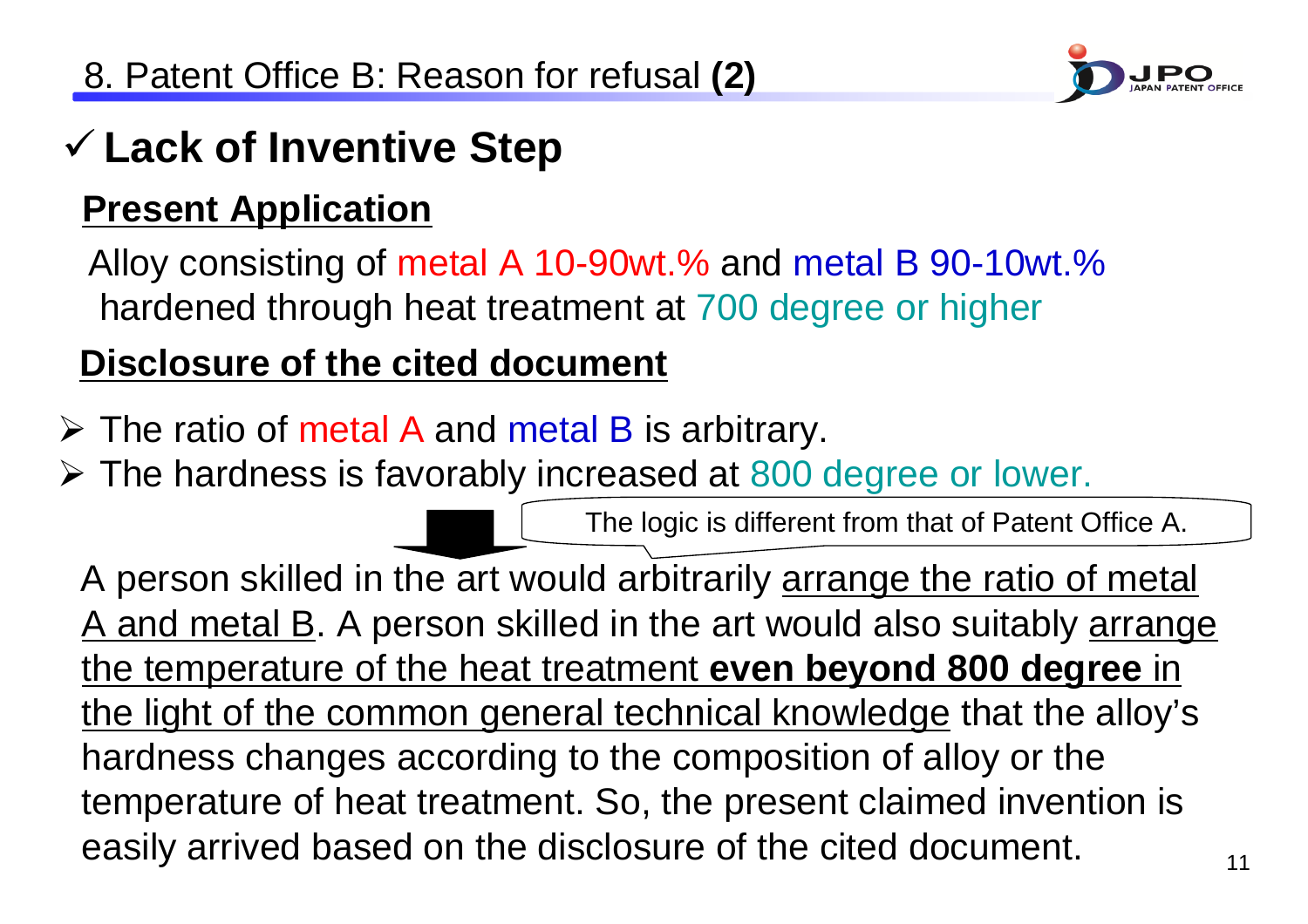

# 9 **Lack of Inventive Step**

### **Present Application**

Alloy consisting of metal A 10-90wt.% and metal B 90-10wt.% hardened through heat treatment at 700 degree or higher

### **Disclosure of the cited document**

- $\triangleright$  The ratio of metal A and metal B is arbitrary.
- ¾ The hardness is favorably increased at 800 degree or lower.

The logic is different from that of Patent Office A.

A person skilled in the art would arbitrarily arrange the ratio of metal A and metal B. A person skilled in the art would also suitably arrange the temperature of the heat treatment **even beyond 800 degree** in the light of the common general technical knowledge that the alloy's hardness changes according to the composition of alloy or the temperature of heat treatment. So, the present claimed invention is easily arrived based on the disclosure of the cited document.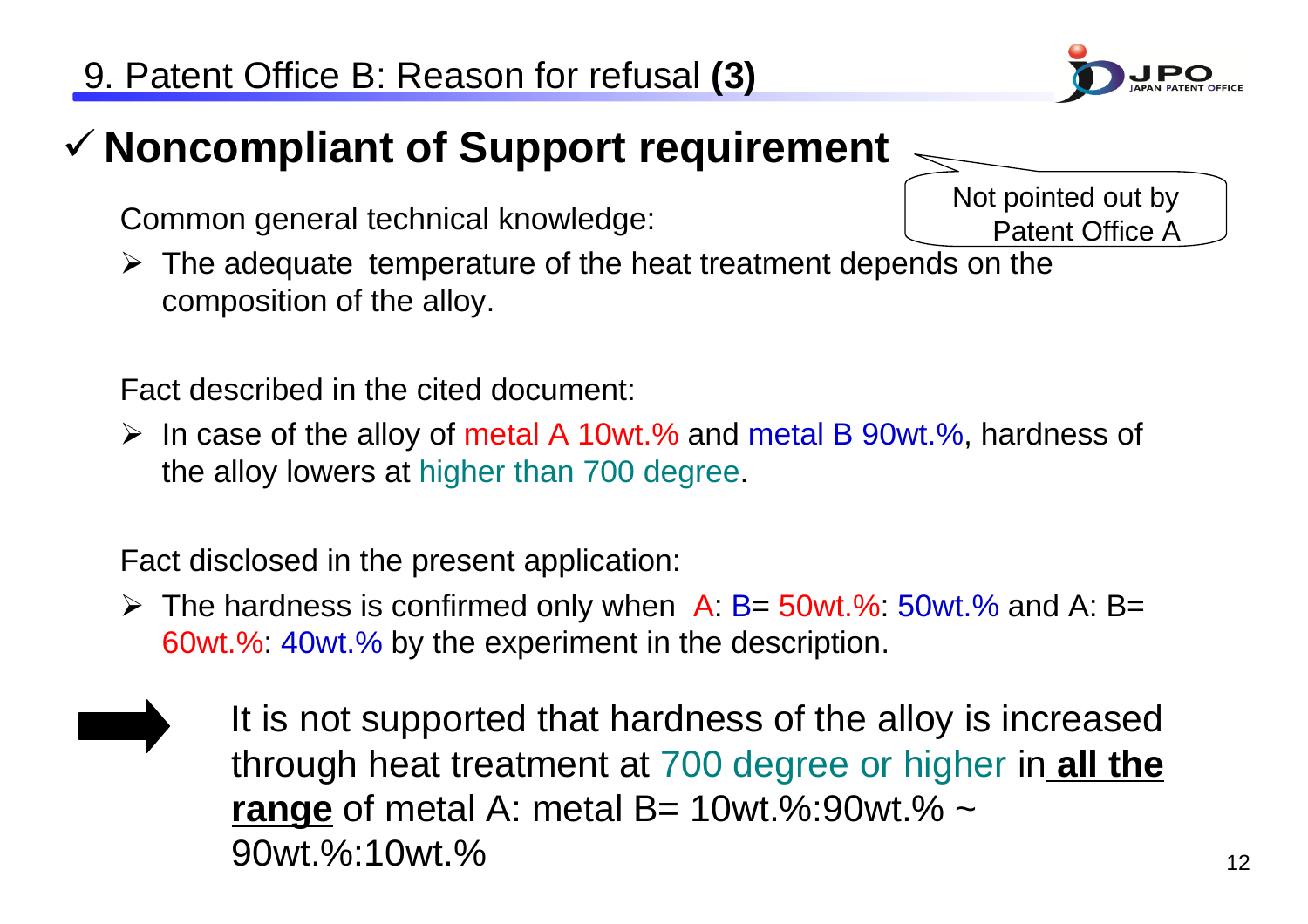# 9 **Noncompliant of Support requirement**

Common general technical knowledge:

 $\triangleright$  The adequate temperature of the heat treatment depends on the composition of the alloy.

Fact described in the cited document:

¾ In case of the alloy of metal A 10wt.% and metal B 90wt.%, hardness of the alloy lowers at higher than 700 degree.

Fact disclosed in the present application:

- $\triangleright$  The hardness is confirmed only when A: B= 50wt.%: 50wt.% and A: B= 60wt.%: 40wt.% by the experiment in the description.
	- It is not supported that hardness of the alloy is increased through heat treatment at 700 degree or higher in **all the range** of metal A: metal B= 10wt.%:90wt.% ~ 90wt.%:10wt.%





Not pointed out by Patent Office A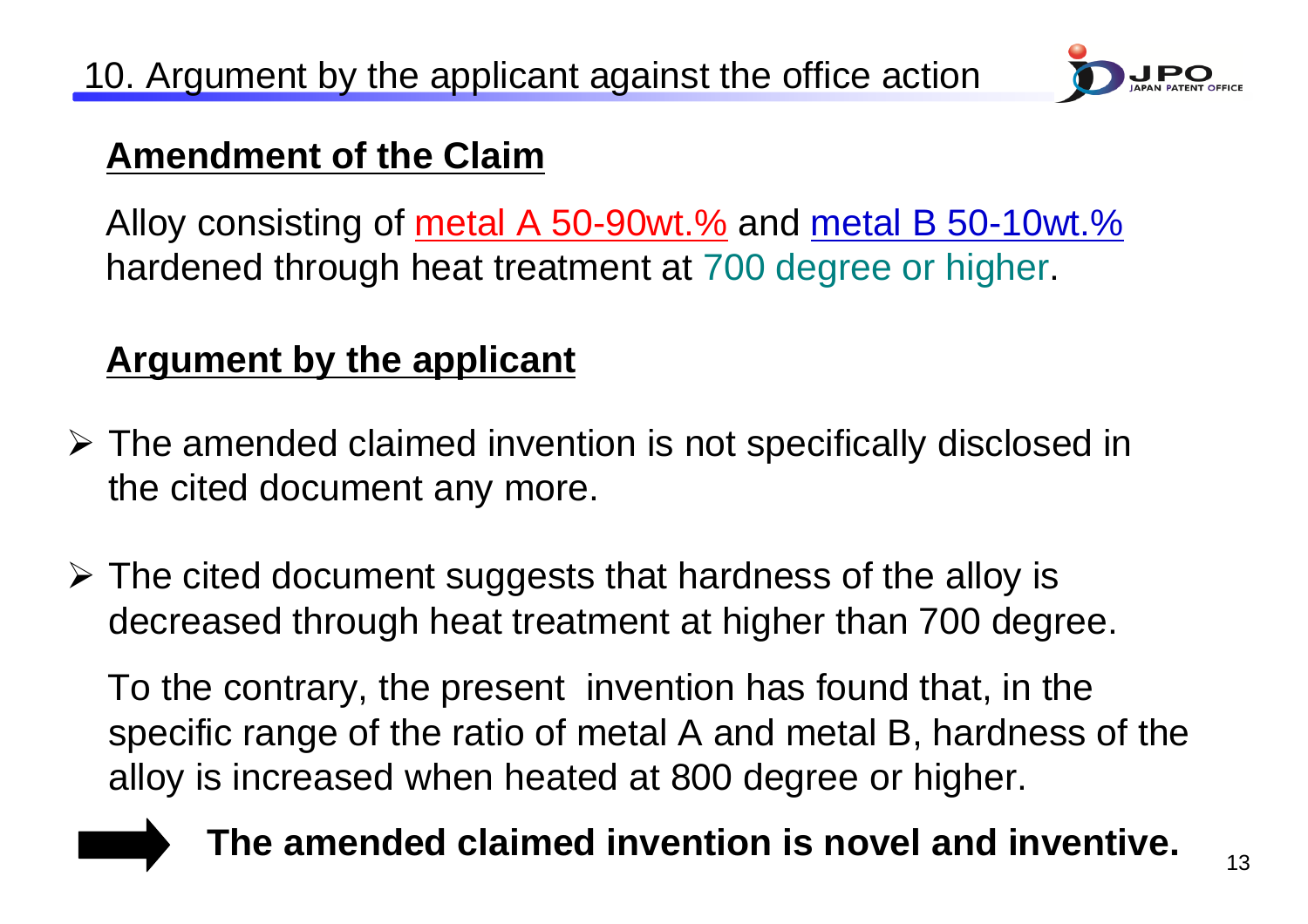

#### **Amendment of the Claim**

Alloy consisting of metal A 50-90wt.% and metal B 50-10wt.% hardened through heat treatment at 700 degree or higher.

#### **Argument by the applicant**

- ¾ The amended claimed invention is not specifically disclosed in the cited document any more.
- ¾ The cited document suggests that hardness of the alloy is decreased through heat treatment at higher than 700 degree.

To the contrary, the present invention has found that, in the specific range of the ratio of metal A and metal B, hardness of the alloy is increased when heated at 800 degree or higher.

## **The amended claimed invention is novel and inventive.**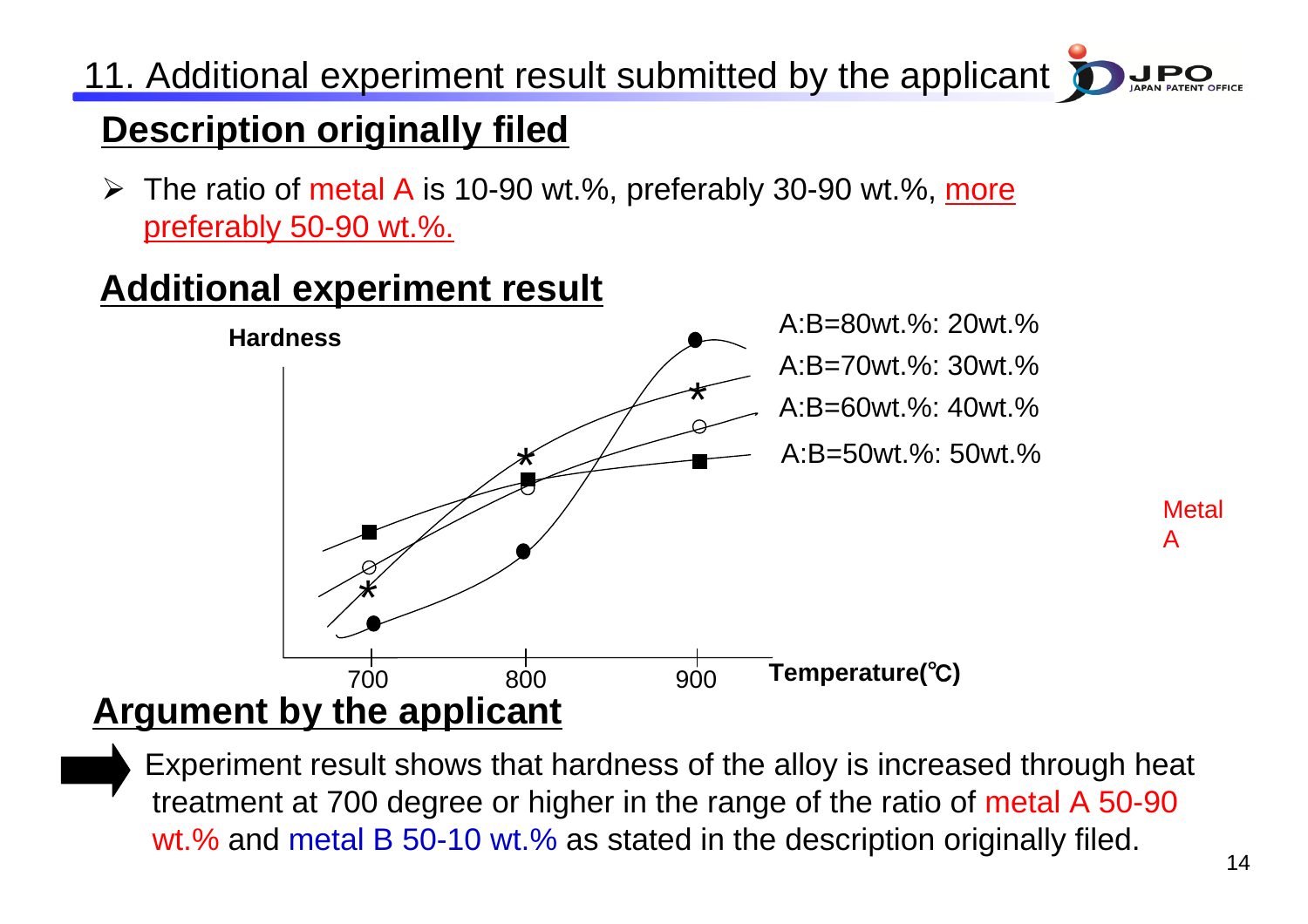11. Additional experiment result submitted by the applicant

## **Description originally filed**

**►** The ratio of metal A is 10-90 wt.%, preferably 30-90 wt.%, more preferably 50-90 wt.%.

### **Additional experiment result**



Experiment result shows that hardness of the alloy is increased through heat treatment at 700 degree or higher in the range of the ratio of metal A 50-90 wt.% and metal B 50-10 wt.% as stated in the description originally filed.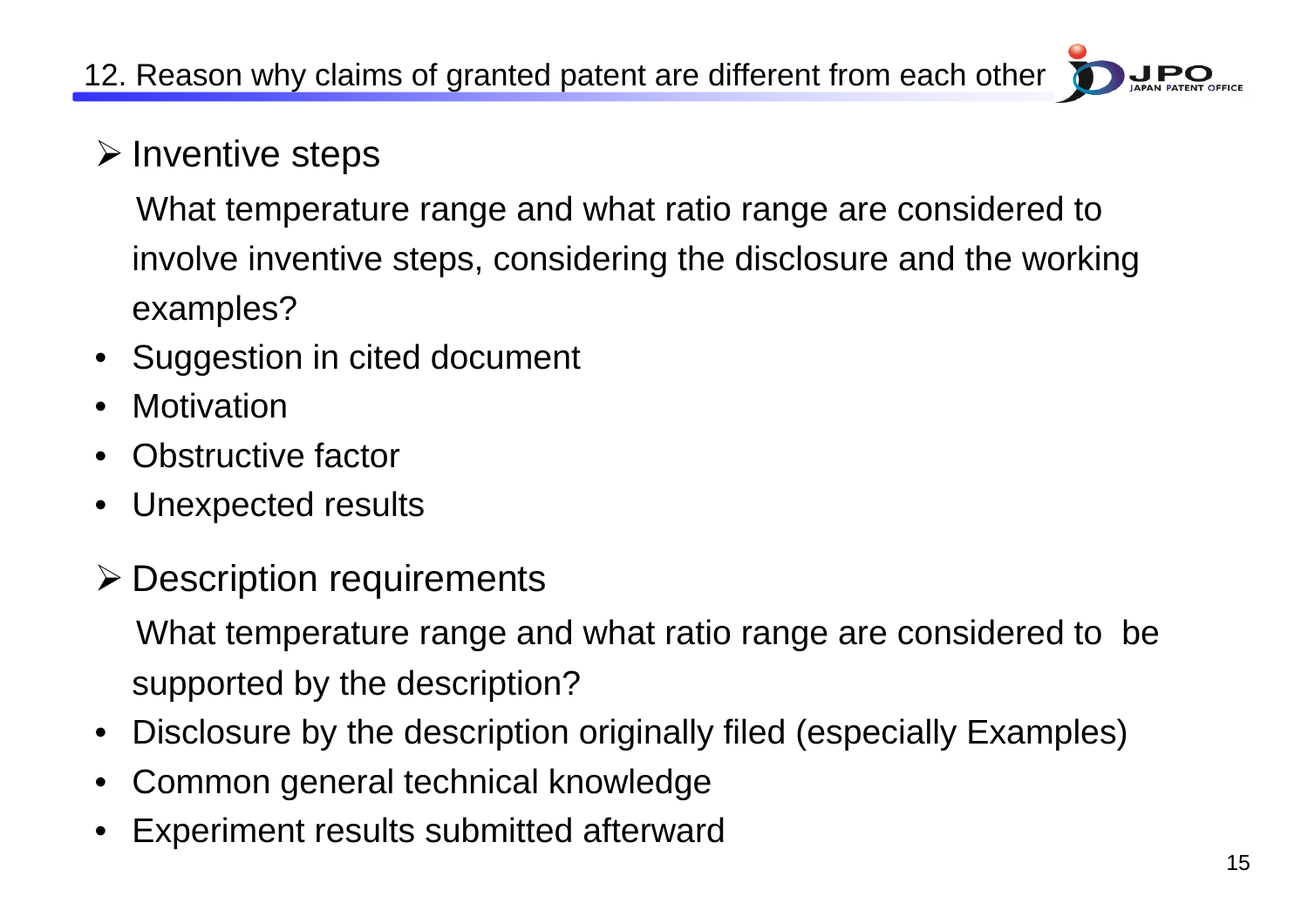# $\triangleright$  Inventive steps

What temperature range and what ratio range are considered to involve inventive steps, considering the disclosure and the working examples?

- Suggestion in cited document
- •**Motivation**
- •Obstructive factor
- •Unexpected results
- ¾ Description requirements

What temperature range and what ratio range are considered to be supported by the description?

- •Disclosure by the description originally filed (especially Examples)
- •Common general technical knowledge
- •Experiment results submitted afterward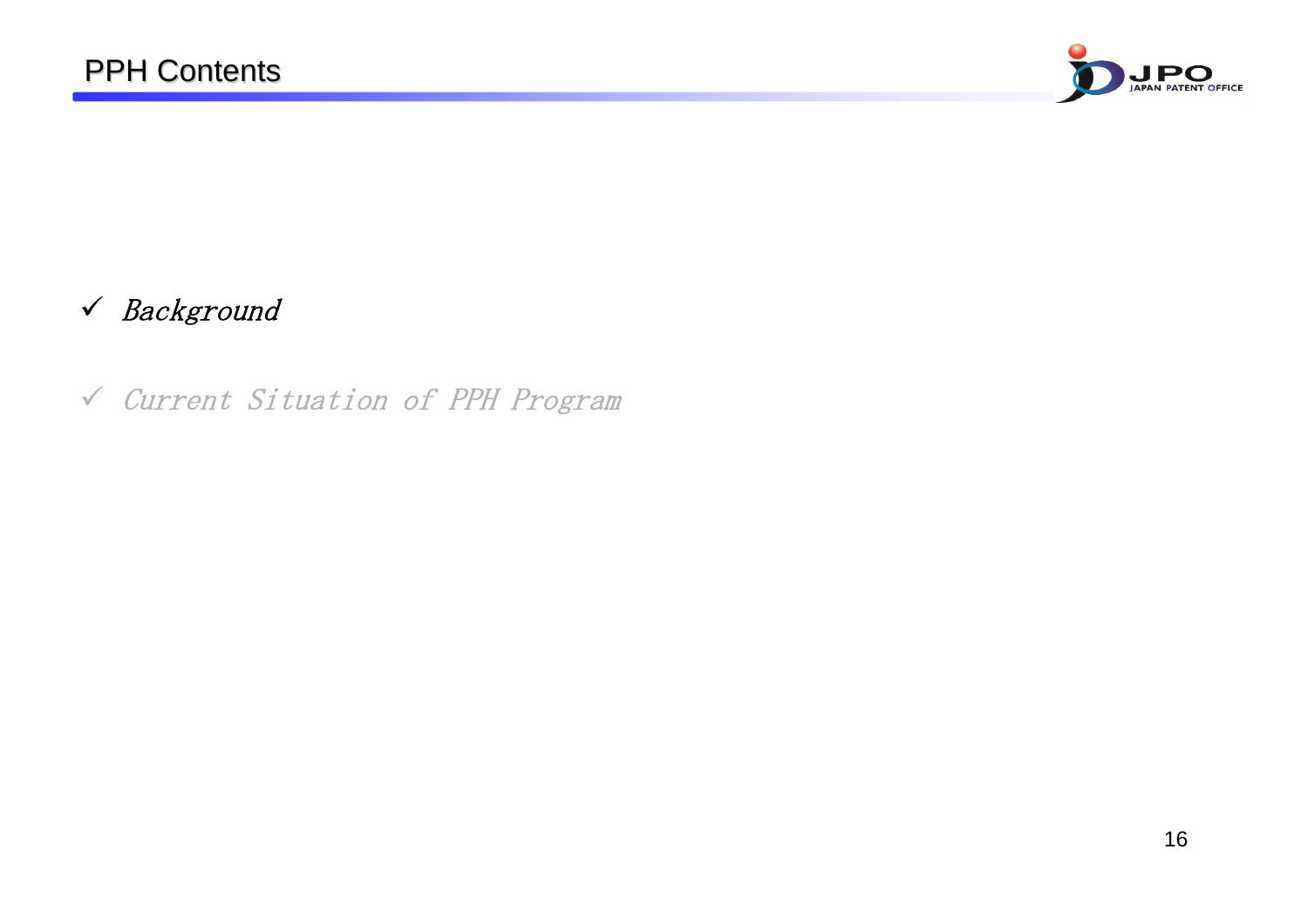

#### 9 Background

9 Current Situation of PPH Program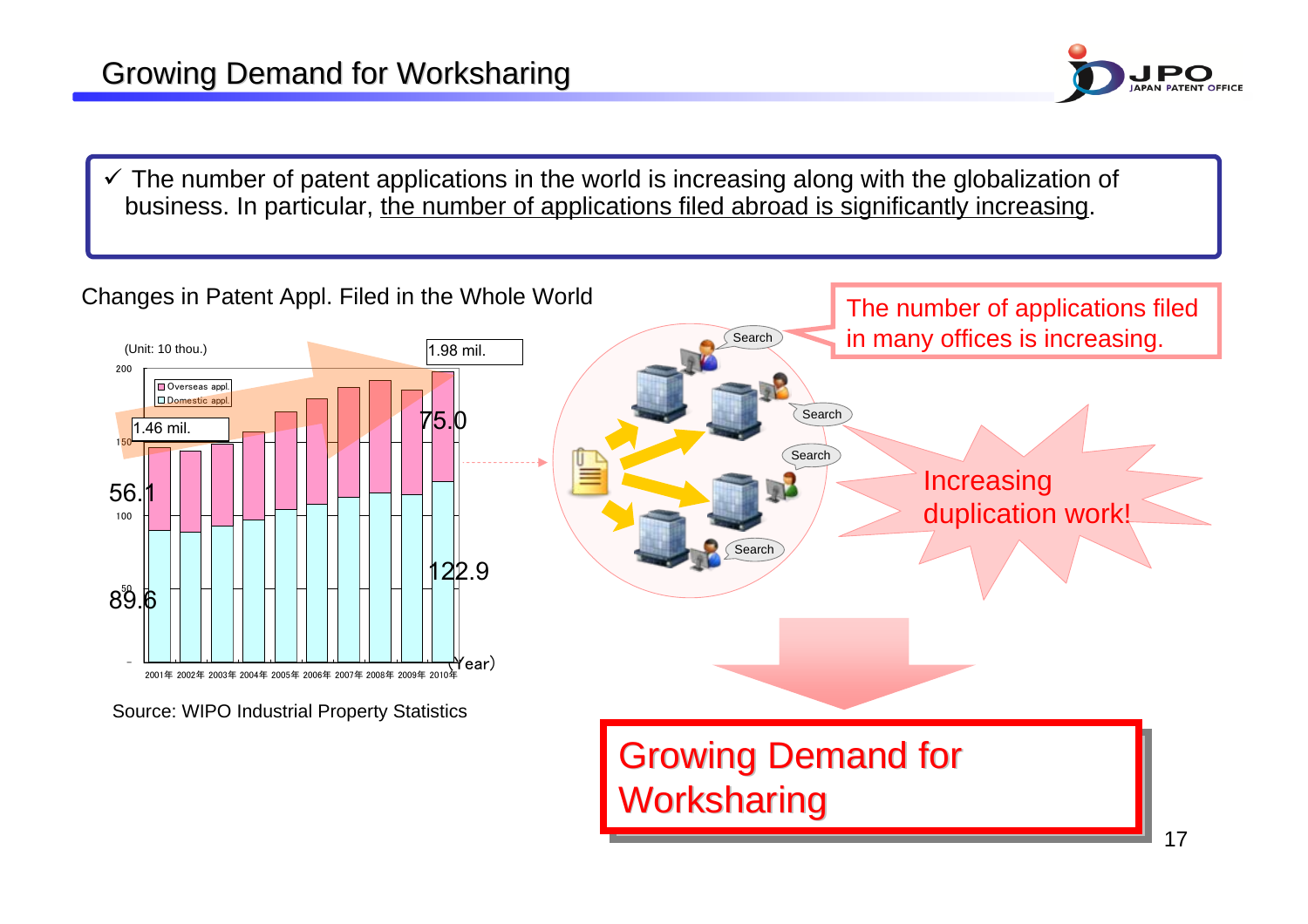

 $\checkmark$  The number of patent applications in the world is increasing along with the globalization of business. In particular, the number of applications filed abroad is significantly increasing.

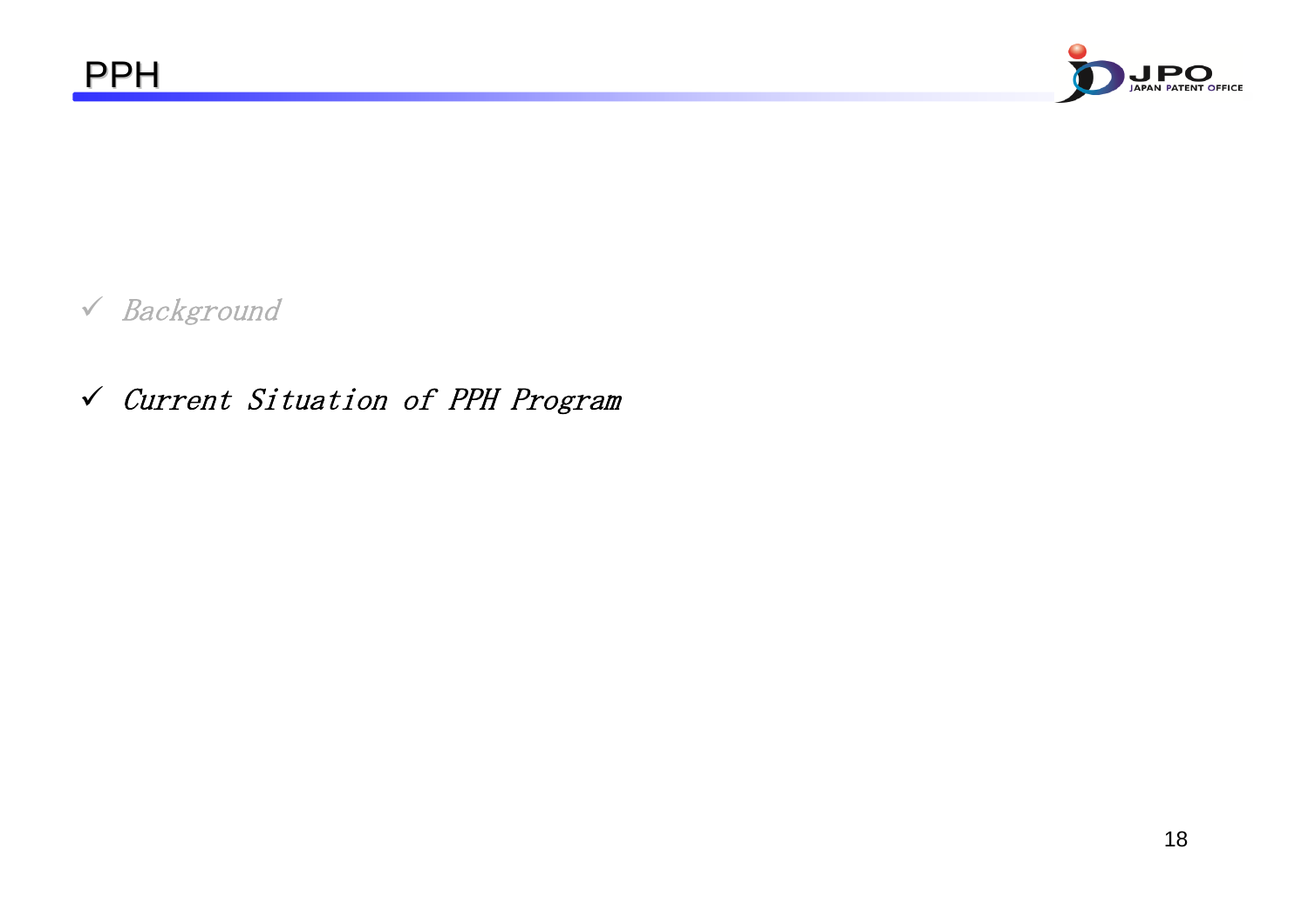



9 Current Situation of PPH Program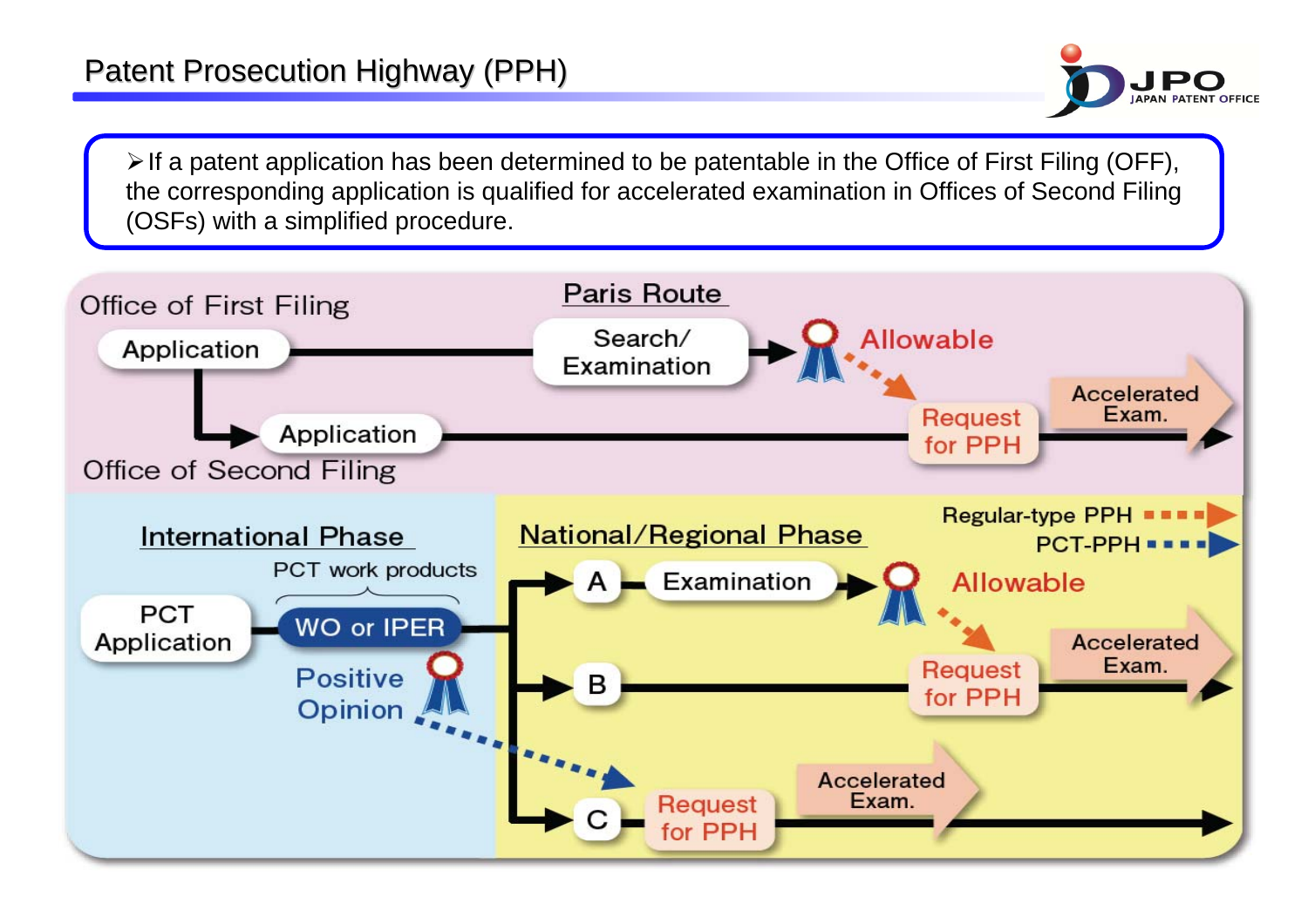

 $\triangleright$  If a patent application has been determined to be patentable in the Office of First Filing (OFF), the corresponding application is qualified for accelerated examination in Offices of Second Filing (OSFs) with a simplified procedure.

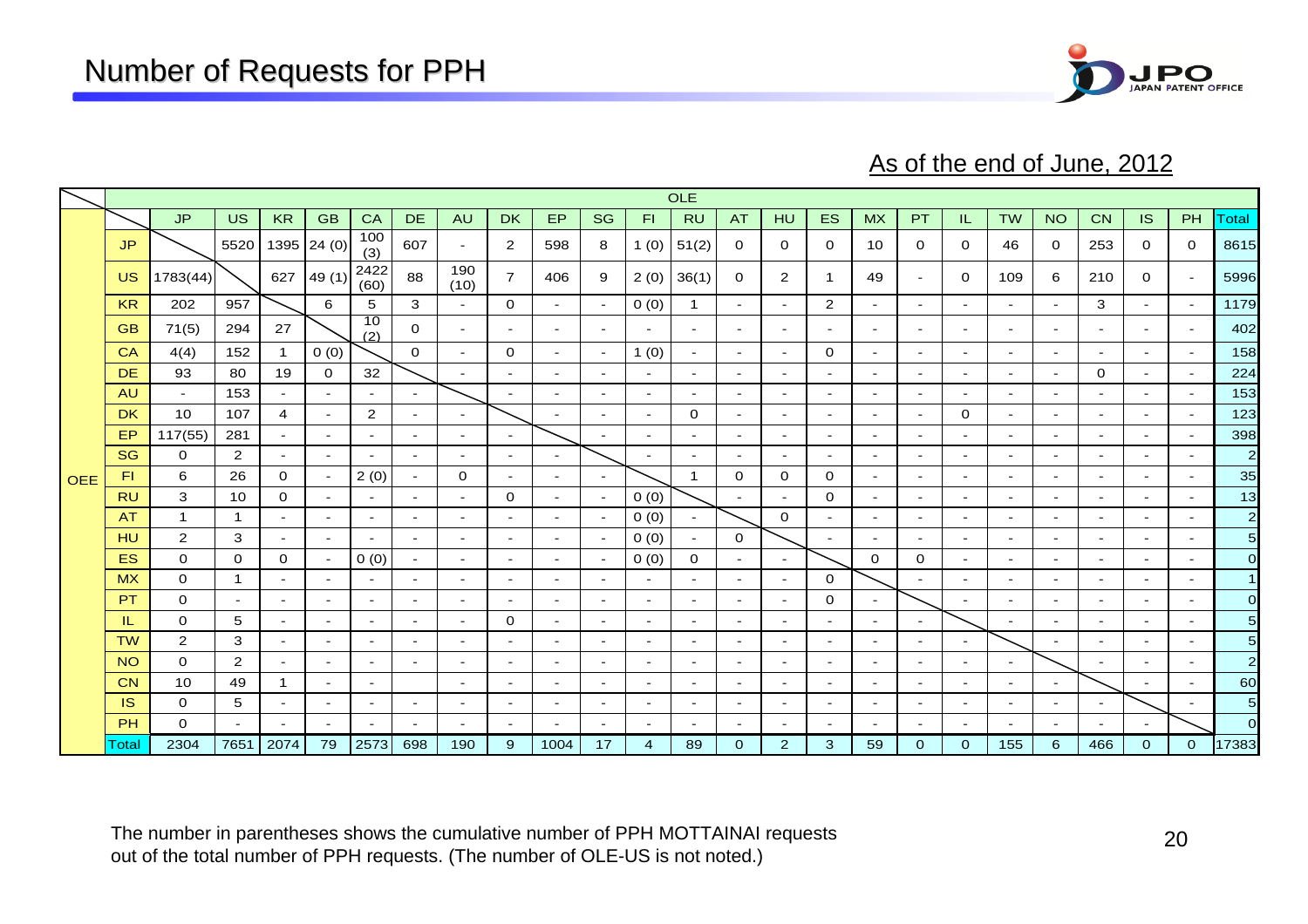

As of the end of June, 2012

|            |           |                |                       |                          |                          |                | <b>OLE</b>               |                          |                |                          |                          |                          |                          |                |                |                |                          |                          |                          |                |                          |           |                          |                          |                 |
|------------|-----------|----------------|-----------------------|--------------------------|--------------------------|----------------|--------------------------|--------------------------|----------------|--------------------------|--------------------------|--------------------------|--------------------------|----------------|----------------|----------------|--------------------------|--------------------------|--------------------------|----------------|--------------------------|-----------|--------------------------|--------------------------|-----------------|
|            |           | <b>JP</b>      | <b>US</b>             | <b>KR</b>                | <b>GB</b>                | CA             | <b>DE</b>                | <b>AU</b>                | <b>DK</b>      | EP                       | <b>SG</b>                | F1                       | <b>RU</b>                | <b>AT</b>      | <b>HU</b>      | ES <sub></sub> | <b>MX</b>                | PT                       | IL.                      | <b>TW</b>      | <b>NO</b>                | <b>CN</b> | <b>IS</b>                | PH                       | Total           |
|            | JP        |                | 5520                  |                          | $1395$ 24 (0)            | 100<br>(3)     | 607                      | $\sim$                   | $\overline{2}$ | 598                      | 8                        | 1(0)                     | 51(2)                    | $\mathbf{0}$   | 0              | 0              | 10                       | $\mathbf 0$              | $\mathbf{0}$             | 46             | 0                        | 253       | 0                        | $\mathbf{0}$             | 8615            |
|            | <b>US</b> | 1783(44)       |                       | 627                      | 49(1)                    | 2422<br>(60)   | 88                       | 190<br>(10)              | $\overline{7}$ | 406                      | 9                        | 2(0)                     | 36(1)                    | $\mathbf{O}$   | 2              | $\mathbf{1}$   | 49                       | $\sim$                   | $\mathbf{0}$             | 109            | 6                        | 210       | $\mathbf{O}$             | $\sim$                   | 5996            |
|            | <b>KR</b> | 202            | 957                   |                          | 6                        | 5              | 3                        | $\sim$                   | $\mathbf{O}$   | $\sim$                   | $\overline{\phantom{a}}$ | 0(0)                     | $\mathbf{1}$             | $\sim$         | $\sim$         | 2              | $\overline{\phantom{a}}$ | $\sim$                   | $\sim$                   | $\sim$         | $\sim$                   | 3         | $\sim$                   | $\sim$                   | 1179            |
|            | <b>GB</b> | 71(5)          | 294                   | 27                       |                          | 10<br>(2)      | $\mathbf{O}$             | $\sim$                   | $\sim$         | $\sim$                   | $\sim$                   | $\sim$                   | $\sim$                   | $\sim$         | $\sim$         | $\sim$         | $\sim$                   | $\sim$                   | $\sim$                   | $\sim$         | $\sim$                   |           | $\sim$                   | $\sim$                   | 402             |
|            | CA        | 4(4)           | 152                   | $\mathbf 1$              | 0(0)                     |                | $\mathbf 0$              | $\sim$                   | $\mathbf{O}$   | $\sim$                   | $\overline{\phantom{a}}$ | 1(0)                     | $\sim$                   | $\sim$         | $\sim$         | $\mathbf{O}$   | $\blacksquare$           | $\overline{\phantom{a}}$ | $\sim$                   | $\sim$         | $\sim$                   |           | $\sim$                   | $\sim$                   | 158             |
|            | <b>DE</b> | 93             | 80                    | 19                       | $\mathbf{O}$             | 32             |                          | $\sim$                   | $\sim$         | $\sim$                   | $\sim$                   | $\sim$                   | $\sim$                   | $\sim$         | $\sim$         | $\sim$         | $\sim$                   | $\sim$                   | $\sim$                   | $\sim$         | $\sim$                   | $\Omega$  | $\sim$                   | $\sim$                   | 224             |
| <b>OEE</b> | <b>AU</b> | $\sim$         | 153                   | $\overline{\phantom{a}}$ | $\overline{\phantom{a}}$ | $\sim$         | $\sim$                   |                          |                |                          | $\overline{\phantom{a}}$ | $\overline{\phantom{a}}$ | $\overline{\phantom{a}}$ | $\sim$         | $\sim$         |                | $\overline{\phantom{a}}$ |                          | $\overline{\phantom{a}}$ | $\sim$         | $\overline{\phantom{0}}$ |           | $\sim$                   | $\sim$                   | 153             |
|            | <b>DK</b> | 10             | 107                   | $\overline{4}$           | $\sim$                   | $\overline{2}$ | $\sim$                   | $\sim$                   |                |                          | $\sim$                   | $\sim$                   | 0                        | $\sim$         | $\sim$         | $\sim$         | $\blacksquare$           | $\sim$                   | 0                        | $\sim$         | $\sim$                   | $\sim$    | $\sim$                   | $\sim$                   | 123             |
|            | <b>EP</b> | 117(55)        | 281                   | $\sim$                   | $\sim$                   | $\blacksquare$ | $\sim$                   | $\sim$                   |                |                          | $\overline{\phantom{a}}$ | $\sim$                   | $\sim$                   | $\sim$         | $\sim$         |                | $\sim$                   | $\overline{\phantom{0}}$ | $\sim$                   | $\sim$         | $\sim$                   |           | $\sim$                   | $\sim$                   | 398             |
|            | <b>SG</b> | $\mathbf{O}$   | 2                     | $\sim$                   | $\sim$                   | $\sim$         | $\sim$                   | $\sim$                   | $\sim$         |                          |                          | $\sim$                   | $\sim$                   | $\sim$         | $\sim$         | $\sim$         | $\sim$                   | $\blacksquare$           | $\sim$                   | $\sim$         | $\sim$                   |           | $\overline{a}$           | $\blacksquare$           | $\mathbf{2}$    |
|            | FL.       | 6              | 26                    | $\mathbf{O}$             | $\sim$                   | 2(0)           | $\sim$                   | $\mathbf{O}$             | $\sim$         | $\overline{\phantom{a}}$ | $\overline{\phantom{a}}$ |                          | $\mathbf 1$              | $\mathbf{O}$   | $\mathbf{O}$   | $\mathbf{O}$   | $\sim$                   | $\overline{\phantom{a}}$ | $\sim$                   | $\sim$         | $\blacksquare$           |           | $\sim$                   | $\blacksquare$           | 35              |
|            | <b>RU</b> | 3              | 10                    | 0                        | $\sim$                   | $\sim$         | $\sim$                   | $\sim$                   | $\mathbf{O}$   | $\sim$                   |                          | 0(0)                     |                          | $\sim$         | $\sim$         | $\mathbf{O}$   | $\sim$                   | $\sim$                   | $\sim$                   | $\sim$         | $\sim$                   |           | $\overline{\phantom{a}}$ | $\sim$                   | 13              |
|            | <b>AT</b> | $\mathbf{1}$   | $\mathbf{1}$          | $\sim$                   | $\sim$                   | $\sim$         | $\sim$                   | $\sim$                   | $\sim$         | $\sim$                   | $\overline{a}$           | 0(0)                     | $\sim$                   |                | $\Omega$       | $\sim$         | $\sim$                   | $\sim$                   | $\sim$                   | $\sim$         | $\sim$                   | $\sim$    | $\sim$                   | $\sim$                   | $\overline{2}$  |
|            | HU        | $\overline{2}$ | 3                     | $\blacksquare$           | $\overline{\phantom{a}}$ | $\sim$         | $\sim$                   | $\sim$                   | $\sim$         | $\overline{\phantom{a}}$ | $\sim$                   | 0(0)                     | $\sim$                   | $\mathbf{O}$   |                |                |                          | $\sim$                   | $\sim$                   | $\sim$         | $\sim$                   |           | $\overline{\phantom{a}}$ | $\sim$                   | 5 <sub>5</sub>  |
|            | <b>ES</b> | $\mathbf 0$    | $\mathbf{O}$          | $\mathbf{O}$             | $\sim$                   | 0(0)           | $\sim$                   | $\overline{\phantom{a}}$ | $\sim$         | $\overline{\phantom{a}}$ |                          | 0(0)                     | $\mathbf{O}$             | $\sim$         | $\sim$         |                | $\mathbf 0$              | $\mathbf 0$              | $\sim$                   | $\sim$         | $\sim$                   |           | $\sim$                   | $\overline{\phantom{a}}$ | $\overline{O}$  |
|            | <b>MX</b> | $\Omega$       | $\mathbf{1}$          | $\sim$                   | $\sim$                   | $\sim$         | $\sim$                   | $\sim$                   |                | $\sim$                   | $\overline{a}$           | $\sim$                   | $\sim$                   | $\sim$         | $\sim$         | $\mathbf{O}$   |                          |                          | $\sim$                   | $\sim$         | $\sim$                   |           | $\sim$                   | $\sim$                   | $\mathbf{1}$    |
|            | <b>PT</b> | $\mathbf{O}$   | $\sim$                | $\sim$                   | $\sim$                   | $\sim$         | $\sim$                   | $\sim$                   | $\sim$         | $\sim$                   | $\sim$                   | $\sim$                   | $\sim$                   | $\sim$         | $\sim$         | 0              | $\sim$                   |                          | $\sim$                   | $\sim$         | $\sim$                   | $\sim$    | $\sim$                   | $\sim$                   | $\overline{O}$  |
|            | IL.       | 0              | 5                     | $\blacksquare$           | $\overline{\phantom{a}}$ | $\sim$         | $\sim$                   | $\sim$                   | $\mathbf 0$    | $\overline{\phantom{a}}$ | $\blacksquare$           | $\sim$                   | $\sim$                   | $\sim$         | $\sim$         |                | $\blacksquare$           | $\overline{\phantom{a}}$ |                          | $\blacksquare$ | $\sim$                   |           | $\overline{\phantom{a}}$ | $\blacksquare$           | 5               |
|            | <b>TW</b> | $\overline{2}$ | 3                     | $\sim$                   | $\sim$                   | $\sim$         | $\sim$                   | $\sim$                   | $\sim$         | $\sim$                   | $\sim$                   | $\sim$                   | $\sim$                   | $\sim$         | $\sim$         | $\sim$         | $\sim$                   | $\blacksquare$           | $\sim$                   |                | $\sim$                   |           | $\sim$                   | $\sim$                   | $5\overline{)}$ |
|            | <b>NO</b> | $\mathbf{O}$   | $\mathbf{2}^{\prime}$ | $\sim$                   | $\sim$                   | $\blacksquare$ | $\sim$                   | $\sim$                   | $\sim$         | $\sim$                   | $\blacksquare$           | $\sim$                   | $\sim$                   | $\sim$         | $\sim$         | $\sim$         | $\sim$                   | $\sim$                   | $\sim$                   | $\sim$         |                          |           | $\sim$                   | $\sim$                   | $\mathbf{2}$    |
|            | <b>CN</b> | 10             | 49                    | $\mathbf{1}$             | $\sim$                   | $\sim$         |                          | $\sim$                   | $\sim$         | $\overline{\phantom{a}}$ | $\blacksquare$           | $\sim$                   | $\sim$                   | $\sim$         | $\sim$         | $\sim$         | $\overline{\phantom{a}}$ | $\sim$                   | $\sim$                   | $\sim$         | $\sim$                   |           |                          | $\blacksquare$           | 60              |
|            | <b>IS</b> | $\mathbf{O}$   | 5                     | $\overline{\phantom{a}}$ | $\overline{\phantom{a}}$ | $\sim$         | $\overline{\phantom{a}}$ | $\overline{\phantom{a}}$ |                |                          |                          | $\overline{\phantom{a}}$ | $\sim$                   | $\sim$         | $\sim$         |                | $\sim$                   | $\overline{\phantom{a}}$ | $\sim$                   | $\sim$         | $\sim$                   |           |                          | $\blacksquare$           | 5 <sub>5</sub>  |
|            | PH        | $\Omega$       | $\sim$                | $\blacksquare$           | $\sim$                   | $\blacksquare$ | $\sim$                   | $\blacksquare$           | $\sim$         |                          | $\overline{\phantom{a}}$ | $\sim$                   | $\sim$                   | $\sim$         | $\sim$         | $\sim$         | $\overline{\phantom{a}}$ | $\overline{\phantom{a}}$ | $\sim$                   | $\sim$         | $\sim$                   |           |                          |                          | $\overline{O}$  |
|            | Total     | 2304           | 7651                  | 2074                     | 79                       | 2573           | 698                      | 190                      | 9              | 1004                     | 17                       | $\overline{4}$           | 89                       | $\overline{0}$ | $\overline{2}$ | 3              | 59                       | $\mathbf 0$              | $\mathbf{0}$             | 155            | 6                        | 466       | $\mathbf{O}$             | $\mathbf{O}$             | 17383           |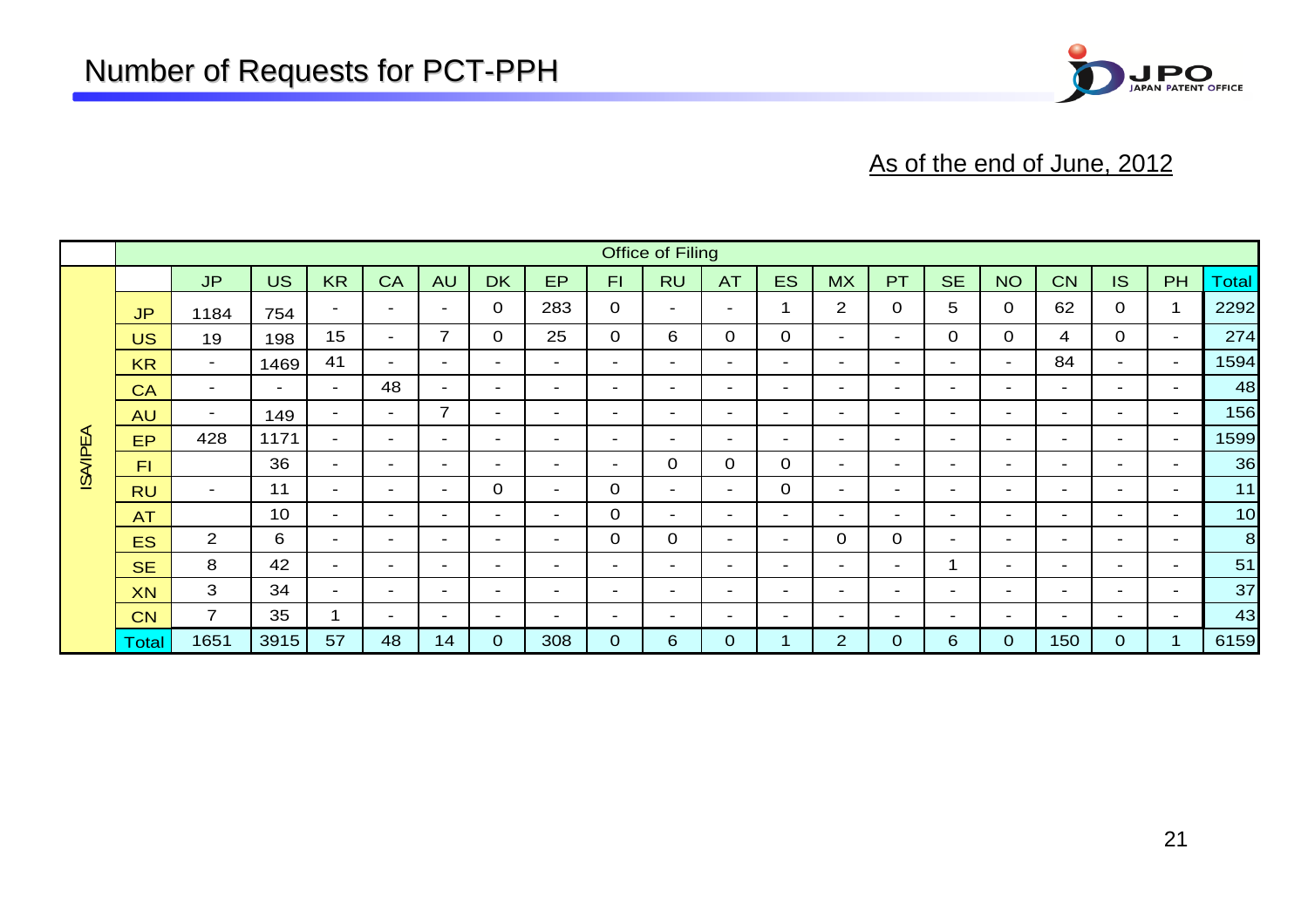

#### As of the end of June, 2012

|                |              | <b>Office of Filing</b>  |                          |                          |                          |                |                          |                          |                          |                          |                          |                          |                          |                          |                          |                          |                          |                |                          |              |
|----------------|--------------|--------------------------|--------------------------|--------------------------|--------------------------|----------------|--------------------------|--------------------------|--------------------------|--------------------------|--------------------------|--------------------------|--------------------------|--------------------------|--------------------------|--------------------------|--------------------------|----------------|--------------------------|--------------|
|                |              | <b>JP</b>                | <b>US</b>                | <b>KR</b>                | CA                       | <b>AU</b>      | <b>DK</b>                | <b>EP</b>                | F1                       | <b>RU</b>                | <b>AT</b>                | <b>ES</b>                | <b>MX</b>                | PT                       | <b>SE</b>                | <b>NO</b>                | <b>CN</b>                | IS.            | PH                       | <b>Total</b> |
|                | <b>JP</b>    | 1184                     | 754                      | $\overline{\phantom{0}}$ | $\overline{\phantom{0}}$ | $\sim$         | $\mathbf 0$              | 283                      | $\mathbf 0$              | $\overline{\phantom{a}}$ | $\overline{\phantom{0}}$ |                          | 2                        | $\mathbf 0$              | 5                        | 0                        | 62                       | 0              | 1                        | 2292         |
|                | <b>US</b>    | 19                       | 198                      | 15                       | $\sim$                   | $\overline{7}$ | $\Omega$                 | 25                       | 0                        | 6                        | $\Omega$                 | $\mathbf{O}$             | $\blacksquare$           | $\sim$                   | $\Omega$                 | 0                        | 4                        | 0              | $\overline{\phantom{a}}$ | 274          |
|                | <b>KR</b>    | $\sim$                   | 1469                     | 41                       | $\sim$                   | $\sim$         | $\blacksquare$           | ۰                        | $\sim$                   | $\overline{\phantom{a}}$ | $\overline{\phantom{0}}$ | $\overline{\phantom{a}}$ | $\sim$                   | ۰.                       | $\overline{\phantom{0}}$ | $\sim$                   | 84                       | $\sim$         | $\overline{\phantom{a}}$ | 1594         |
|                | CA           | $\overline{\phantom{a}}$ | $\overline{\phantom{0}}$ | $\sim$                   | 48                       | $\sim$         | $\sim$                   | $\overline{\phantom{0}}$ | $\sim$                   | $\overline{\phantom{a}}$ | $\overline{\phantom{0}}$ | $\sim$                   | $\overline{\phantom{0}}$ | $\sim$                   | $\overline{\phantom{0}}$ | $\overline{\phantom{0}}$ | $\sim$                   | $\sim$         | $\overline{\phantom{a}}$ | 48           |
|                | <b>AU</b>    | $\sim$                   | 149                      | $\sim$                   | $\sim$                   | $\overline{7}$ | $\sim$                   | $\overline{\phantom{0}}$ | $\overline{\phantom{a}}$ | $\overline{\phantom{a}}$ | $\overline{\phantom{0}}$ | $\sim$                   | $\overline{\phantom{a}}$ | $\sim$                   | $\overline{\phantom{a}}$ | $\sim$                   | $\sim$                   | $\sim$         | $\overline{\phantom{a}}$ | 156          |
| <b>ISAIPEA</b> | <b>EP</b>    | 428                      | 1171                     | $\sim$                   | $\sim$                   | $\sim$         | $\overline{\phantom{a}}$ | $\overline{\phantom{0}}$ | $\blacksquare$           | $\sim$                   | $\overline{\phantom{0}}$ | $\overline{\phantom{a}}$ | $\overline{\phantom{0}}$ | $\sim$                   | $\overline{\phantom{0}}$ | $\overline{\phantom{a}}$ | $\overline{\phantom{0}}$ | $\sim$         | $\overline{\phantom{a}}$ | 1599         |
|                | FI           |                          | 36                       | $\sim$                   | $\overline{\phantom{0}}$ | $\sim$         | $\overline{\phantom{a}}$ | - 1                      | $\overline{\phantom{a}}$ | $\mathbf 0$              | $\mathbf 0$              | $\mathbf 0$              | $\sim$                   | $\sim$                   | $\overline{\phantom{0}}$ | $\overline{\phantom{a}}$ | $\overline{\phantom{0}}$ | $\sim$         | $\sim$                   | 36           |
|                | <b>RU</b>    | $\sim$                   | 11                       | $\sim$                   | $\sim$                   | Ξ.             | $\Omega$                 | - 1                      | 0                        | $\sim$                   | $\overline{\phantom{0}}$ | $\mathbf 0$              | $\overline{\phantom{a}}$ | $\overline{\phantom{a}}$ | $\overline{\phantom{0}}$ | $\overline{\phantom{a}}$ | $\sim$                   | $\sim$         | $\overline{\phantom{a}}$ | 11           |
|                | <b>AT</b>    |                          | 10 <sup>°</sup>          | $\sim$                   | $\sim$                   | $\sim$         | $\sim$                   | ۰.                       | 0                        | $\overline{\phantom{a}}$ | $\overline{\phantom{0}}$ | $\overline{\phantom{0}}$ | $\overline{\phantom{0}}$ | $\overline{\phantom{a}}$ | $\overline{\phantom{0}}$ | $\sim$                   | $\sim$                   | $\sim$         | $\overline{\phantom{a}}$ | 10           |
|                | <b>ES</b>    | $\overline{2}$           | 6                        | $\sim$                   | $\overline{\phantom{0}}$ | $\sim$         | $\overline{\phantom{a}}$ | $\overline{\phantom{0}}$ | 0                        | $\mathbf 0$              | $\overline{\phantom{0}}$ | $\overline{\phantom{a}}$ | $\mathbf 0$              | $\mathbf 0$              | $\overline{\phantom{a}}$ | $\overline{\phantom{a}}$ | $\overline{\phantom{0}}$ | $\sim$         | $\overline{\phantom{a}}$ | 8            |
|                | <b>SE</b>    | 8                        | 42                       | $\sim$                   | $\sim$                   | $\sim$         | $\overline{\phantom{a}}$ | $\overline{\phantom{0}}$ | $\overline{\phantom{a}}$ | $\overline{\phantom{a}}$ | $\overline{\phantom{0}}$ | $\sim$                   | $\overline{\phantom{0}}$ | $\sim$                   |                          | $\sim$                   | $\sim$                   | $\sim$         | $\overline{\phantom{a}}$ | 51           |
|                | <b>XN</b>    | 3                        | 34                       | $\sim$                   | $\sim$                   | ۰.             | $\overline{\phantom{a}}$ | $\overline{\phantom{0}}$ | $\overline{\phantom{a}}$ | $\overline{\phantom{a}}$ | $\overline{\phantom{0}}$ | $\overline{\phantom{0}}$ | $\overline{\phantom{0}}$ | $\overline{\phantom{a}}$ | $\overline{\phantom{a}}$ | $\overline{\phantom{0}}$ | $\overline{\phantom{0}}$ | $\sim$         | $\overline{\phantom{a}}$ | 37           |
|                | <b>CN</b>    | $\overline{7}$           | 35                       |                          | $\sim$                   | $\sim$         | $\sim$                   | н.                       | $\overline{\phantom{a}}$ | $\sim$                   | $\overline{\phantom{0}}$ | $\sim$                   | $\overline{\phantom{a}}$ | $\sim$                   | $\overline{\phantom{0}}$ | $\overline{\phantom{a}}$ | $\sim$                   | $\sim$         | $\blacksquare$           | 43           |
|                | <b>Total</b> | 1651                     | 3915                     | 57                       | 48                       | 14             | $\Omega$                 | 308                      | $\mathbf{O}$             | 6                        | $\mathbf{0}$             |                          | $\overline{2}$           | $\mathbf 0$              | 6                        | $\Omega$                 | 150                      | $\overline{0}$ |                          | 6159         |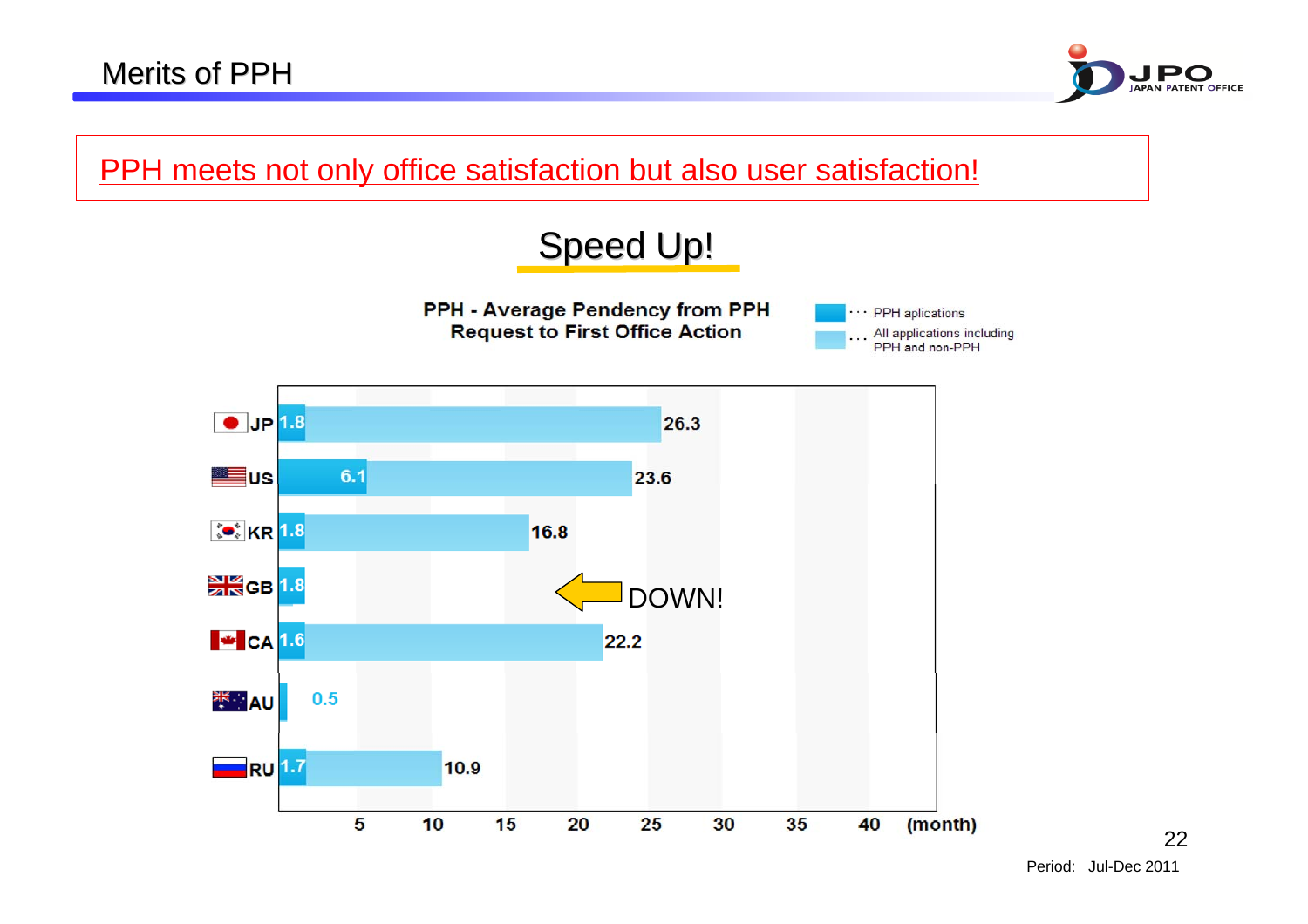

PPH meets not only office satisfaction but also user satisfaction!

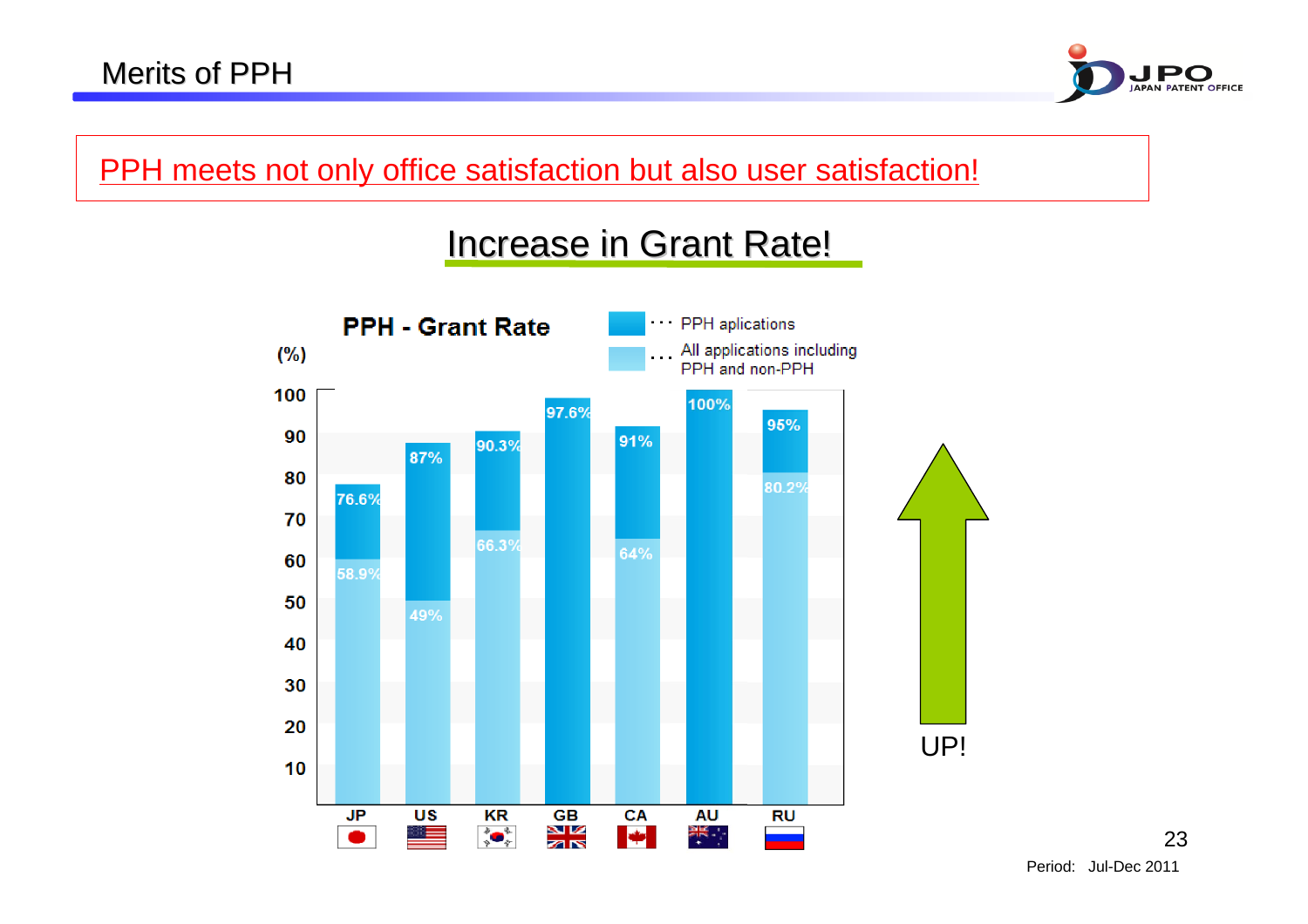

PPH meets not only office satisfaction but also user satisfaction!

#### Increase in Grant Rate!

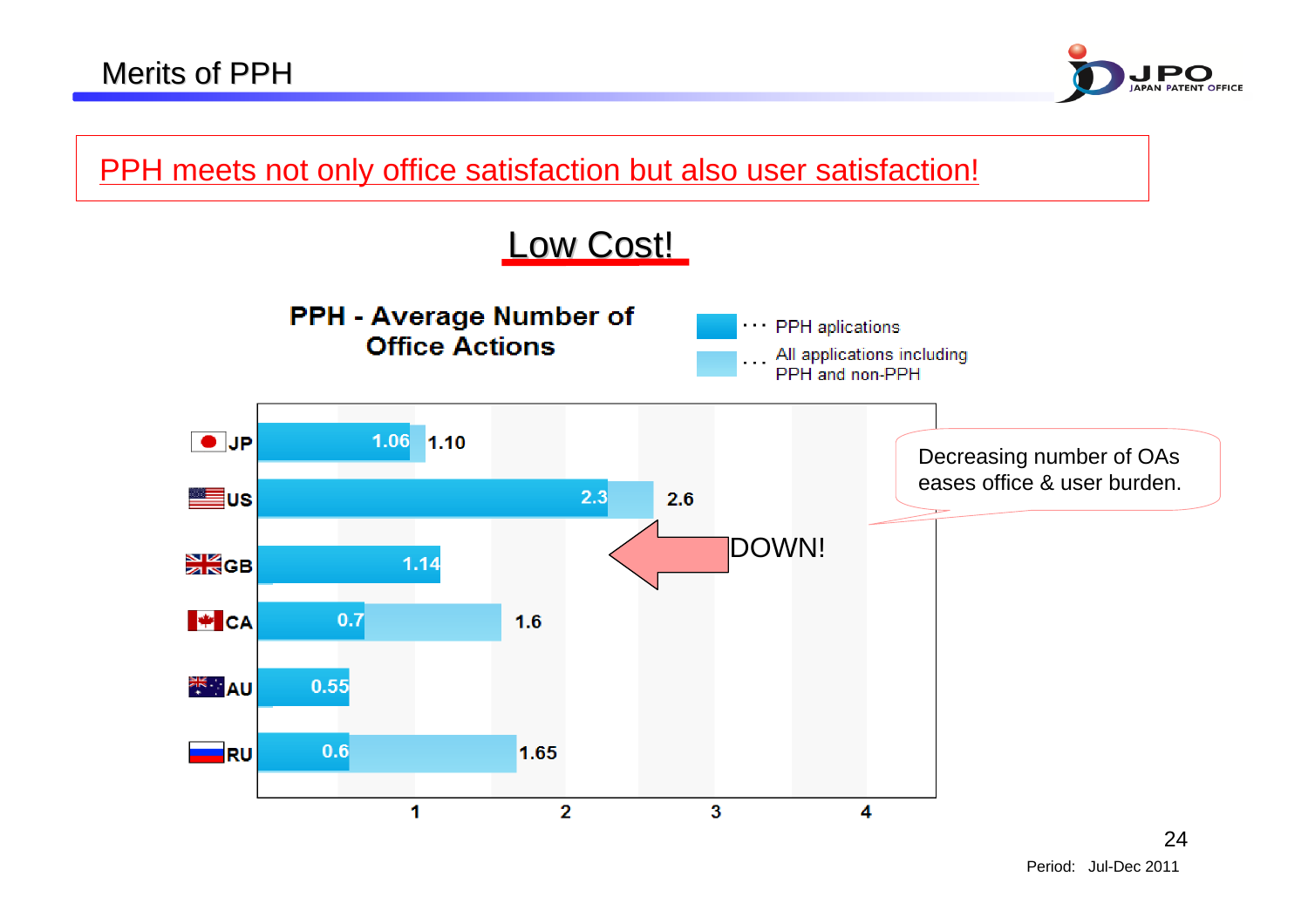

PPH meets not only office satisfaction but also user satisfaction!

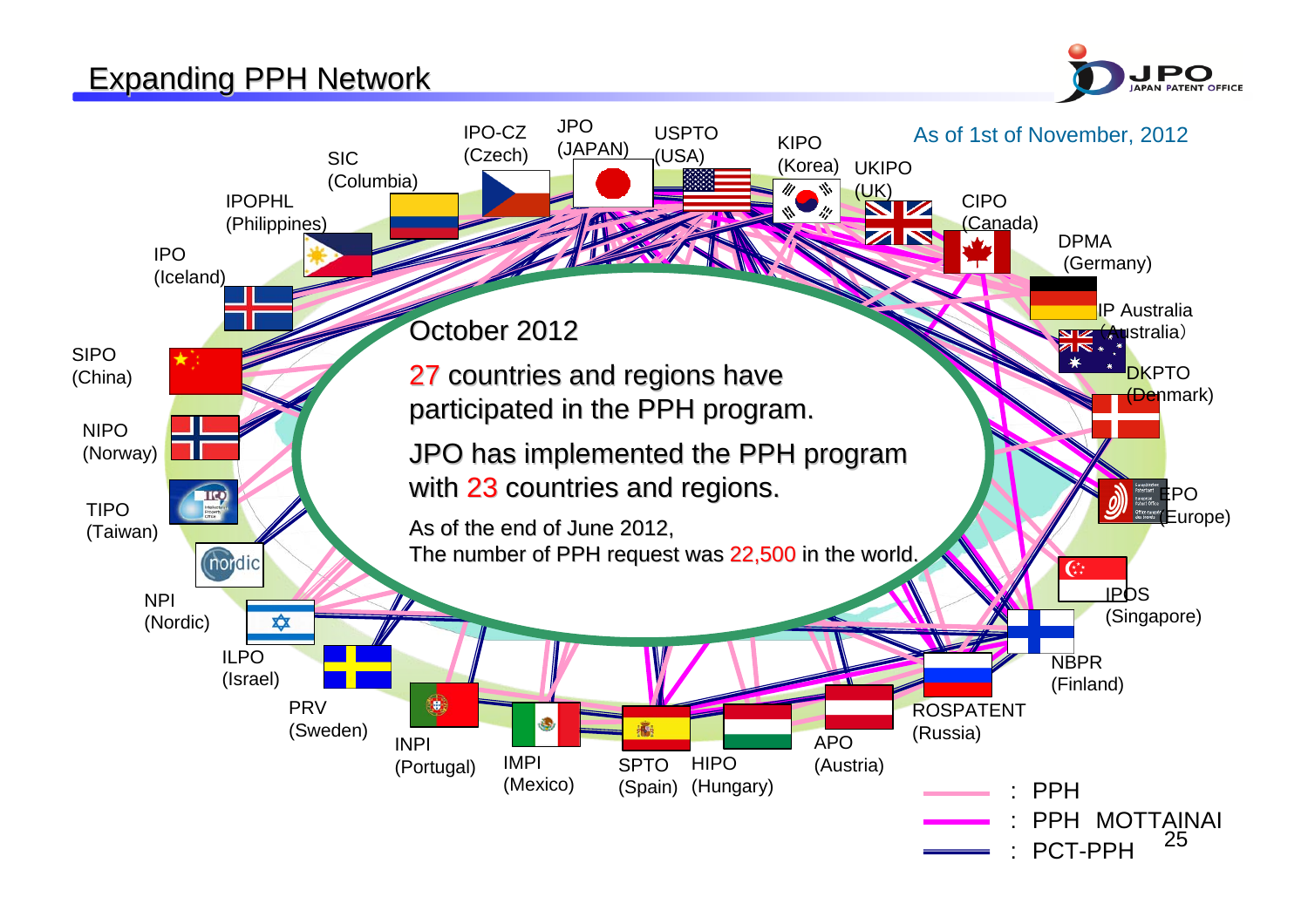#### **Expanding PPH Network**



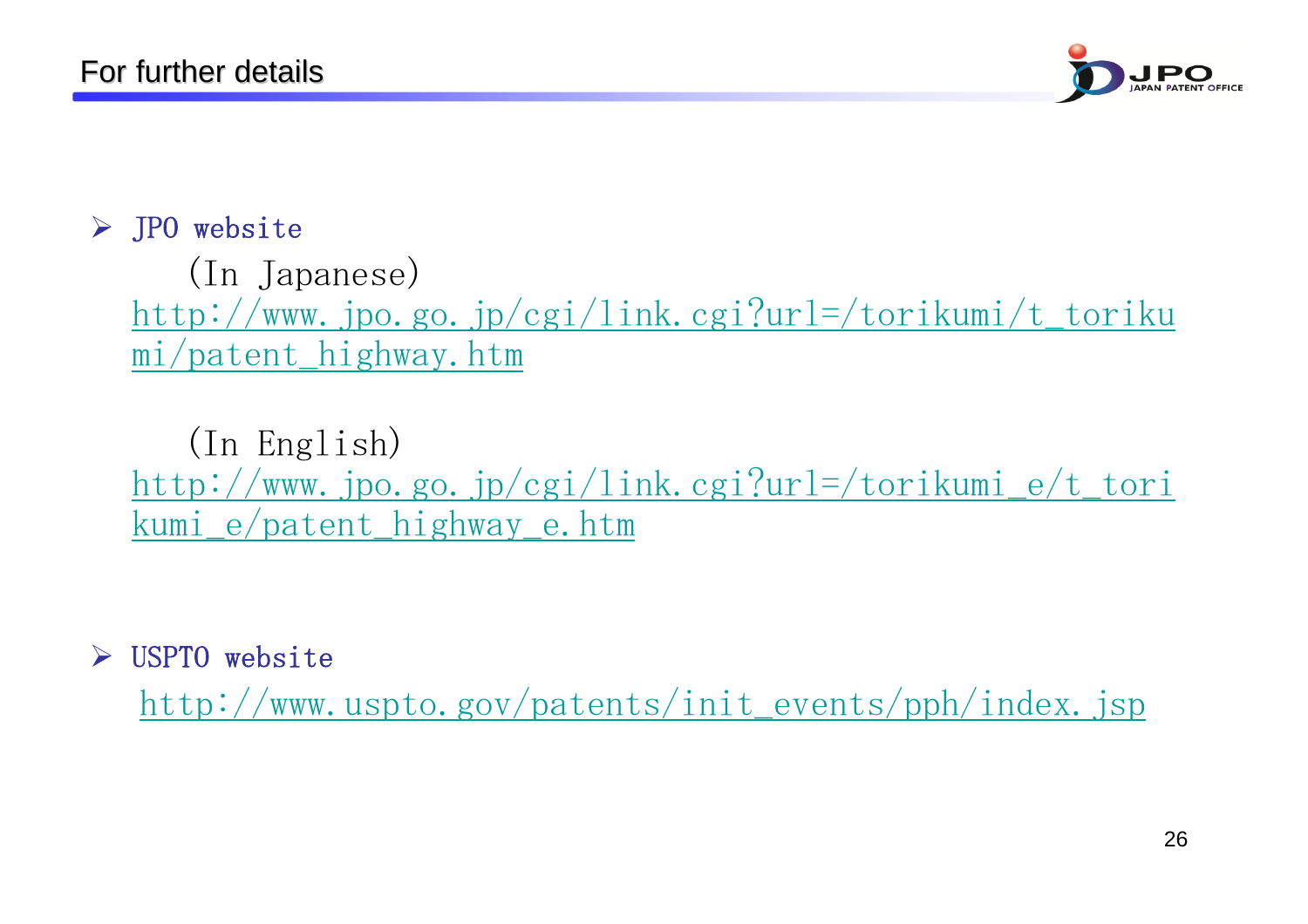

#### ¾ JPO website

(In Japanese) http://www.jpo.go.jp/cgi/link.cgi?url=/torikumi/t\_toriku mi/patent\_highway.htm

(In English) http://www.jpo.go.jp/cgi/link.cgi?url=/torikumi\_e/t\_tori kumi\_e/patent\_highway\_e.htm

¾USPTO website

http://www.uspto.gov/patents/init\_events/pph/index.jsp